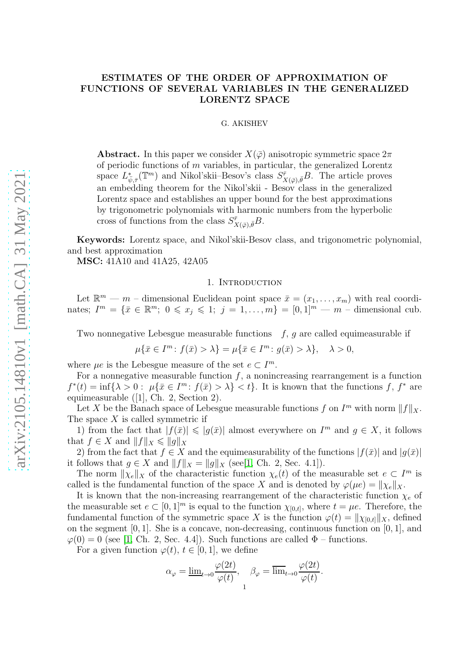# ESTIMATES OF THE ORDER OF APPROXIMATION OF FUNCTIONS OF SEVERAL VARIABLES IN THE GENERALIZED LORENTZ SPACE

### G. AKISHEV

**Abstract.** In this paper we consider  $X(\bar{\varphi})$  anisotropic symmetric space  $2\pi$ of periodic functions of  $m$  variables, in particular, the generalized Lorentz space  $L^*_{\bar{\psi},\bar{\tau}}(\mathbb{T}^m)$  and Nikol'skii–Besov's class  $S^{\bar{r}}_{X(\bar{\varphi}),\bar{\theta}}B$ . The article proves an embedding theorem for the Nikol'skii - Besov class in the generalized Lorentz space and establishes an upper bound for the best approximations by trigonometric polynomials with harmonic numbers from the hyperbolic cross of functions from the class  $S_{\mathbf{x}}^{\bar{r}}$  $^{\bar r}_{X(\bar \varphi), \bar \theta} B.$ 

Keywords: Lorentz space, and Nikol'skii-Besov class, and trigonometric polynomial, and best approximation

MSC: 41A10 and 41A25, 42A05

#### 1. Introduction

Let  $\mathbb{R}^m$  — m – dimensional Euclidean point space  $\bar{x} = (x_1, \ldots, x_m)$  with real coordinates;  $I^m = \{\bar{x} \in \mathbb{R}^m; 0 \leq x_j \leq 1; j = 1, ..., m\} = [0, 1]^m \text{---} m \text{---}$  dimensional cub.

Two nonnegative Lebesgue measurable functions  $f, g$  are called equimeasurable if

$$
\mu\{\bar{x}\in I^m\colon f(\bar{x})>\lambda\}=\mu\{\bar{x}\in I^m\colon g(\bar{x})>\lambda\},\quad\lambda>0,
$$

where  $\mu e$  is the Lebesgue measure of the set  $e \subset I^m$ .

For a nonnegative measurable function  $f$ , a nonincreasing rearrangement is a function  $f^*(t) = \inf\{\lambda > 0: \ \mu\{\bar{x} \in I^m: f(\bar{x}) > \lambda\} < t\}.$  It is known that the functions f,  $f^*$  are equimeasurable ([1], Ch. 2, Section 2).

Let X be the Banach space of Lebesgue measurable functions f on  $I<sup>m</sup>$  with norm  $||f||_X$ . The space  $X$  is called symmetric if

1) from the fact that  $|f(\bar{x})| \leq |g(\bar{x})|$  almost everywhere on  $I^m$  and  $g \in X$ , it follows that  $f \in X$  and  $||f||_X \leq ||g||_X$ 

2) from the fact that  $f \in X$  and the equimeasurability of the functions  $|f(\bar{x})|$  and  $|g(\bar{x})|$ it follows that  $g \in X$  and  $||f||_X = ||g||_X$  (see[\[1,](#page-16-0) Ch. 2, Sec. 4.1]).

The norm  $\|\chi_e\|_X$  of the characteristic function  $\chi_e(t)$  of the measurable set  $e \subset I^m$  is called is the fundamental function of the space X and is denoted by  $\varphi(\mu e) = ||\chi_e||_X$ .

It is known that the non-increasing rearrangement of the characteristic function  $\chi_e$  of the measurable set  $e \subset [0,1]^m$  is equal to the function  $\chi_{[0,t]}$ , where  $t = \mu e$ . Therefore, the fundamental function of the symmetric space X is the function  $\varphi(t) = \|\chi_{[0,t]}\|_X$ , defined on the segment [0, 1]. She is a concave, non-decreasing, continuous function on [0, 1], and  $\varphi(0) = 0$  (see [\[1,](#page-16-0) Ch. 2, Sec. 4.4]). Such functions are called  $\Phi$  – functions.

For a given function  $\varphi(t)$ ,  $t \in [0, 1]$ , we define

$$
\alpha_{\varphi} = \underline{\lim}_{t \to 0} \frac{\varphi(2t)}{\varphi(t)}, \quad \beta_{\varphi} = \overline{\lim}_{t \to 0} \frac{\varphi(2t)}{\varphi(t)}.
$$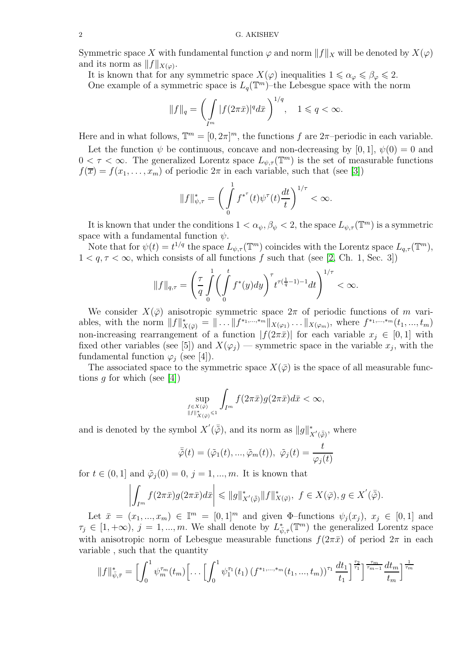Symmetric space X with fundamental function  $\varphi$  and norm  $||f||_X$  will be denoted by  $X(\varphi)$ and its norm as  $||f||_{X(\varphi)}$ .

It is known that for any symmetric space  $X(\varphi)$  inequalities  $1 \leq \alpha_{\varphi} \leq \beta_{\varphi} \leq 2$ .

One example of a symmetric space is  $L_q(\mathbb{T}^m)$ -the Lebesgue space with the norm

$$
||f||_q = \left(\int\limits_{I^m} |f(2\pi\bar{x})|^q d\bar{x}\right)^{1/q}, \quad 1 \leqslant q < \infty.
$$

Here and in what follows,  $\mathbb{T}^m = [0, 2\pi]^m$ , the functions f are  $2\pi$ -periodic in each variable.

Let the function  $\psi$  be continuous, concave and non-decreasing by [0, 1],  $\psi(0) = 0$  and  $0 < \tau < \infty$ . The generalized Lorentz space  $L_{\psi,\tau}(\mathbb{T}^m)$  is the set of measurable functions  $f(\overline{x}) = f(x_1, \ldots, x_m)$  of periodic  $2\pi$  in each variable, such that (see [\[3\]](#page-16-1))

$$
\|f\|^*_{\psi,\tau}=\bigg(\int\limits_0^1f^{*^{\tau}}(t)\psi^{\tau}(t)\frac{dt}{t}\bigg)^{1/\tau}<\infty.
$$

It is known that under the conditions  $1 < \alpha_{\psi}, \beta_{\psi} < 2$ , the space  $L_{\psi, \tau}(\mathbb{T}^m)$  is a symmetric space with a fundamental function  $\psi$ .

Note that for  $\psi(t) = t^{1/q}$  the space  $L_{\psi,\tau}(\mathbb{T}^m)$  coincides with the Lorentz space  $L_{q,\tau}(\mathbb{T}^m)$ ,  $1 < q, \tau < \infty$ , which consists of all functions f such that (see [\[2,](#page-16-2) Ch. 1, Sec. 3])

$$
||f||_{q,\tau} = \left(\frac{\tau}{q} \int_{0}^{1} \left(\int_{0}^{t} f^*(y) dy\right)^{\tau} t^{\tau(\frac{1}{q}-1)-1} dt\right)^{1/\tau} < \infty.
$$

We consider  $X(\bar{\varphi})$  anisotropic symmetric space  $2\pi$  of periodic functions of m variables, with the norm  $||f||^*_{X(\bar{\varphi})} = || \dots ||f^{*_{1},...,*_{m}}||_{X(\varphi_{1})} \dots ||_{X(\varphi_{m})}$ , where  $f^{*_{1},...,*_{m}}(t_1,...,t_m)$ non-increasing rearrangement of a function  $|f(2\pi\bar{x})|$  for each variable  $x_j \in [0,1]$  with fixed other variables (see [5]) and  $X(\varphi_j)$  — symmetric space in the variable  $x_j$ , with the fundamental function  $\varphi_i$  (see [4]).

The associated space to the symmetric space  $X(\bar{\varphi})$  is the space of all measurable functions g for which (see  $|4|$ )

$$
\sup_{f\in X(\bar{\varphi})\atop{\|f\|_{X(\bar{\varphi})}^*\leq 1}}\int_{I^m}f(2\pi\bar{x})g(2\pi\bar{x})d\bar{x}<\infty,
$$

and is denoted by the symbol  $X'(\bar{\tilde{\varphi}})$ , and its norm as  $||g||^*$  $x'(\bar{\tilde{\varphi}})$ , where

$$
\bar{\tilde{\varphi}}(t)=(\tilde{\varphi}_1(t),...,\tilde{\varphi}_m(t)),\ \tilde{\varphi}_j(t)=\frac{t}{\varphi_j(t)}
$$

for  $t \in (0, 1]$  and  $\tilde{\varphi}_i(0) = 0$ ,  $j = 1, ..., m$ . It is known that

$$
\left| \int_{I^m} f(2\pi \bar{x}) g(2\pi \bar{x}) d\bar{x} \right| \leqslant \|g\|_{X'(\bar{\tilde{\varphi}})}^* \|f\|_{X(\bar{\varphi})}^*, \ f \in X(\bar{\varphi}), g \in X'(\bar{\tilde{\varphi}}).
$$

Let  $\bar{x} = (x_1, ..., x_m) \in \mathbb{I}^m = [0, 1]^m$  and given  $\Phi$ -functions  $\psi_j(x_j), x_j \in [0, 1]$  and  $\tau_j \in [1, +\infty), j = 1, ..., m$ . We shall denote by  $L^*_{\bar{\psi}, \bar{\tau}}(\mathbb{T}^m)$  the generalized Lorentz space with anisotropic norm of Lebesgue measurable functions  $f(2\pi\bar{x})$  of period  $2\pi$  in each variable , such that the quantity

$$
||f||_{\bar{\psi},\bar{\tau}}^* = \left[\int_0^1 \psi_m^{\tau_m}(t_m)\left[\dots\left[\int_0^1 \psi_1^{\tau_1}(t_1) \left(f^{*1,\dots,*m}(t_1,\dots,t_m)\right)^{\tau_1} \frac{dt_1}{t_1}\right]^{\frac{\tau_2}{\tau_1}}\right]^{\frac{\tau_m}{\tau_{m-1}}} \frac{dt_m}{t_m}\right]^{\frac{1}{\tau_m}}
$$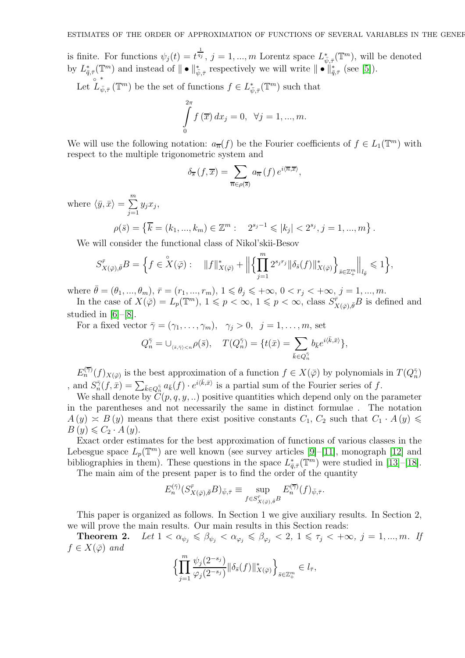is finite. For functions  $\psi_j(t) = t^{\frac{1}{q_j}}$ ,  $j = 1, ..., m$  Lorentz space  $L^*_{\bar{\psi}, \bar{\tau}}(\mathbb{T}^m)$ , will be denoted by  $L^*_{\bar{q},\bar{\tau}}(\mathbb{T}^m)$  and instead of  $\|\bullet\|_{\bar{\psi},\bar{\tau}}^*$  respectively we will write  $\|\bullet\|_{\bar{q},\bar{\tau}}^*$  (see [\[5\]](#page-16-4)). ∗

Let  $\overset{\circ}{L}_{\bar{\psi},\bar{\tau}}(\mathbb{T}^m)$  be the set of functions  $f \in L^*_{\bar{\psi},\bar{\tau}}(\mathbb{T}^m)$  such that

$$
\int_{0}^{2\pi} f(\overline{x}) dx_j = 0, \quad \forall j = 1, ..., m.
$$

We will use the following notation:  $a_{\overline{n}}(f)$  be the Fourier coefficients of  $f \in L_1(\mathbb{T}^m)$  with respect to the multiple trigonometric system and

$$
\delta_{\overline{s}}(f,\overline{x}) = \sum_{\overline{n} \in \rho(\overline{s})} a_{\overline{n}}(f) e^{i\langle \overline{n}, \overline{x} \rangle},
$$

where  $\langle \bar{y}, \bar{x} \rangle = \sum_{n=1}^{\infty}$  $j=1$  $y_jx_j,$ 

$$
\rho(\bar{s}) = \left\{ \overline{k} = (k_1, ..., k_m) \in \mathbb{Z}^m : 2^{s_j - 1} \leqslant |k_j| < 2^{s_j}, j = 1, ..., m \right\}.
$$

We will consider the functional class of Nikol'skii-Besov

$$
S_{X(\bar{\varphi}),\bar{\theta}}^{\bar{r}}B = \Big\{ f \in \overset{\circ}{X}(\bar{\varphi}): \quad \|f\|_{X(\bar{\varphi})}^* + \Big\| \Big\{ \prod_{j=1}^m 2^{s_j r_j} \|\delta_{\bar{s}}(f)\|_{X(\bar{\varphi})}^* \Big\}_{\bar{s} \in \mathbb{Z}_+^m} \Big\|_{l_{\bar{\theta}}} \leqslant 1 \Big\},
$$

where  $\bar{\theta} = (\theta_1, ..., \theta_m)$ ,  $\bar{r} = (r_1, ..., r_m)$ ,  $1 \le \theta_j \le +\infty$ ,  $0 < r_j < +\infty$ ,  $j = 1, ..., m$ .

In the case of  $X(\bar{\varphi}) = L_p(\mathbb{T}^m)$ ,  $1 \leqslant p < \infty$ ,  $1 \leqslant p < \infty$ , class  $S_X^{\bar{r}}$  $\chi_{X(\bar{\varphi}),\bar{\theta}}B$  is defined and studied in [\[6\]](#page-16-5)–[\[8\]](#page-16-6).

For a fixed vector  $\bar{\gamma} = (\gamma_1, \ldots, \gamma_m), \gamma_i > 0, \ j = 1, \ldots, m$ , set

$$
Q_n^{\bar{\gamma}} = \cup_{\langle \bar{s}, \bar{\gamma} \rangle < n} \rho(\bar{s}), \quad T(Q_n^{\bar{\gamma}}) = \{ t(\bar{x}) = \sum_{\bar{k} \in Q_n^{\bar{\gamma}}} b_{\bar{k}} e^{i \langle \bar{k}, \bar{x} \rangle} \},
$$

 $E_n^{(\overline{\gamma})}(f)_{X(\overline{\varphi})}$  is the best approximation of a function  $f \in X(\overline{\varphi})$  by polynomials in  $T(Q_n^{\overline{\gamma}})$ , and  $S_n^{\bar{\gamma}}(f, \bar{x}) = \sum_{\bar{k}\in Q_n^{\bar{\gamma}}} a_{\bar{k}}(f) \cdot e^{i\langle \bar{k}, \bar{x}\rangle}$  is a partial sum of the Fourier series of f.

We shall denote by  $\ddot{C}(p,q,y, ...)$  positive quantities which depend only on the parameter in the parentheses and not necessarily the same in distinct formulae . The notation  $A(y) \approx B(y)$  means that there exist positive constants  $C_1, C_2$  such that  $C_1 \cdot A(y) \leq$  $B(y) \leqslant C_2 \cdot A(y).$ 

Exact order estimates for the best approximation of functions of various classes in the Lebesgue space  $L_p(\mathbb{T}^m)$  are well known (see survey articles [\[9\]](#page-16-7)-[\[11\]](#page-16-8), monograph [\[12\]](#page-16-9) and bibliographies in them). These questions in the space  $L^*_{\bar{q},\bar{\tau}}(\mathbb{T}^m)$  were studied in [\[13\]](#page-16-10)-[\[18\]](#page-16-11).

The main aim of the present paper is to find the order of the quantity

$$
E_n^{(\bar{\gamma})}(S_{X(\bar{\varphi}),\bar{\theta}}^{\bar{r}}B)_{\bar{\psi},\bar{\tau}} \equiv \sup_{f \in S_{X(\bar{\varphi}),\bar{\theta}}^{\bar{r}}B} E_n^{(\bar{\gamma})}(f)_{\bar{\psi},\bar{\tau}}.
$$

This paper is organized as follows. In Section 1 we give auxiliary results. In Section 2, we will prove the main results. Our main results in this Section reads:

**Theorem 2.** *Let*  $1 < \alpha_{\psi_j} \leq \beta_{\psi_j} < \alpha_{\varphi_j} \leq \beta_{\varphi_j} < 2, 1 \leq \tau_j < +\infty, j = 1, ..., m$ . If  $f \in X(\bar{\varphi})$  and

$$
\Bigl\{\prod_{j=1}^m \frac{\psi_j(2^{-s_j})}{\varphi_j(2^{-s_j})}\|\delta_{\bar{s}}(f)\|^*_{X(\bar{\varphi})}\Bigr\}_{\bar{s}\in \mathbb{Z}_+^m}\in l_{\bar{\tau}},
$$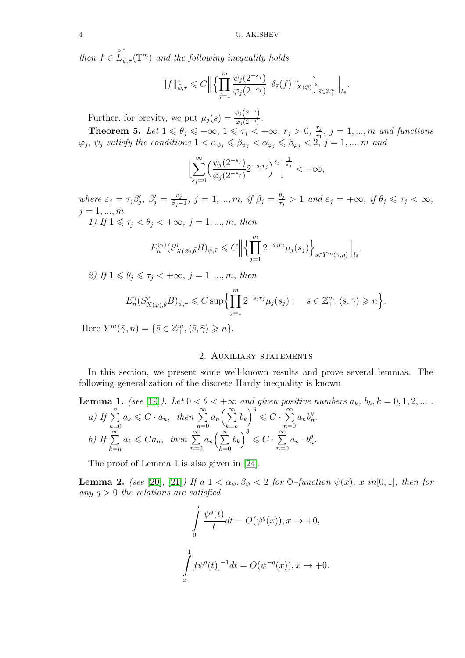*then*  $f \in \overset{\circ}{L}$ ∗  $\bar{\psi}_{\bar{y},\bar{\tau}}(\mathbb{T}^m)$  and the following inequality holds

$$
||f||_{\bar{\psi},\bar{\tau}}^* \leqslant C \Big\| \Big\{ \prod_{j=1}^m \frac{\psi_j(2^{-s_j})}{\varphi_j(2^{-s_j})} \|\delta_{\bar{s}}(f)\|_{X(\bar{\varphi})}^*\Big\}_{\bar{s}\in \mathbb{Z}_+^m} \Big\|_{l_{\bar{\tau}}}.
$$

Further, for brevity, we put  $\mu_j(s) = \frac{\psi_j(2^{-s})}{\varphi_i(2^{-s})}$  $\frac{\varphi_j(z)}{\varphi_j(2^{-s})}$ .

**Theorem 5.** Let  $1 \le \theta_j \le +\infty$ ,  $1 \le \tau_j < +\infty$ ,  $r_j > 0$ ,  $\frac{r_j}{r_j}$  $\frac{r_j}{r_1}, \ j=1,...,m$  and functions  $\varphi_j, \psi_j$  satisfy the conditions  $1 < \alpha_{\psi_j} \leqslant \beta_{\psi_j} < \alpha_{\varphi_j} \leqslant \beta_{\varphi_j} < 2, j = 1, ..., m$  and

$$
\Bigl[\sum_{s_j=0}^{\infty}\Bigl(\frac{\psi_j(2^{-s_j})}{\varphi_j(2^{-s_j})}2^{-s_jr_j}\Bigr)^{\varepsilon_j}\Bigr]^{\frac{1}{\varepsilon_j}}<+\infty,
$$

*where*  $\varepsilon_j = \tau_j \beta'_j$ ,  $\beta'_j = \frac{\beta_j}{\beta_j - \beta_j}$  $\frac{\beta_j}{\beta_j-1}$ *, j* = 1*, ..., m, if β<sub>j</sub> =*  $\frac{\theta_j}{\tau_j}$  $\frac{\theta_j}{\tau_j} > 1$  and  $\varepsilon_j = +\infty$ , if  $\theta_j \leq \tau_j < \infty$ ,  $j = 1, ..., m$ .

*1)* If  $1 \leq \tau_j < \theta_j < +\infty$ ,  $j = 1, ..., m$ , then

$$
E_n^{(\bar{\gamma})}(S_{X(\bar{\varphi}),\bar{\theta}}^{\bar{r}}B)_{\bar{\psi},\bar{\tau}} \leqslant C \Big\Vert \Big\lbrace \prod_{j=1}^m 2^{-s_jr_j} \mu_j(s_j) \Big\rbrace_{\bar{s} \in Y^m(\bar{\gamma},n)} \Big\Vert_{l_{\bar{\varepsilon}}}.
$$

*2)* If  $1 \leq \theta_i \leq \tau_i \leq +\infty$ ,  $j = 1, ..., m$ , then

$$
E_n^{\bar{\gamma}}(S_{X(\bar{\varphi}),\bar{\theta}}^{\bar{r}}B)_{\bar{\psi},\bar{\tau}} \leqslant C \sup \Biggl\{ \prod_{j=1}^m 2^{-s_j r_j} \mu_j(s_j) : \quad \bar{s} \in \mathbb{Z}_+^m, \langle \bar{s}, \bar{\gamma} \rangle \geqslant n \Biggr\}.
$$

Here  $Y^m(\bar{\gamma}, n) = \{\bar{s} \in \mathbb{Z}_{+}^m, \langle \bar{s}, \bar{\gamma} \rangle \geqslant n\}.$ 

## 2. AUXILIARY STATEMENTS

In this section, we present some well-known results and prove several lemmas. The following generalization of the discrete Hardy inequality is known

**Lemma 1.** (see [19]). Let 
$$
0 < \theta < +\infty
$$
 and given positive numbers  $a_k$ ,  $b_k$ ,  $k = 0, 1, 2, ...$   
\na) If  $\sum_{k=0}^{n} a_k \leq C \cdot a_n$ , then  $\sum_{n=0}^{\infty} a_n \left(\sum_{k=n}^{\infty} b_k\right)^{\theta} \leq C \cdot \sum_{n=0}^{\infty} a_n b_n^{\theta}$ .  
\nb) If  $\sum_{k=n}^{\infty} a_k \leq C a_n$ , then  $\sum_{n=0}^{\infty} a_n \left(\sum_{k=0}^{n} b_k\right)^{\theta} \leq C \cdot \sum_{n=0}^{\infty} a_n \cdot b_n^{\theta}$ .

The proof of Lemma 1 is also given in [\[24\]](#page-17-0).

**Lemma 2.** *(see* [\[20\]](#page-16-13)*,* [\[21\]](#page-16-14)*)* If a  $1 < \alpha_{\psi}, \beta_{\psi} < 2$  for  $\Phi$ -function  $\psi(x)$ *,* x in [0, 1]*,* then for *any* q > 0 *the relations are satisfied*

$$
\int_{0}^{x} \frac{\psi^{q}(t)}{t} dt = O(\psi^{q}(x)), x \to +0,
$$
  

$$
\int_{x}^{1} [t\psi^{q}(t)]^{-1} dt = O(\psi^{-q}(x)), x \to +0.
$$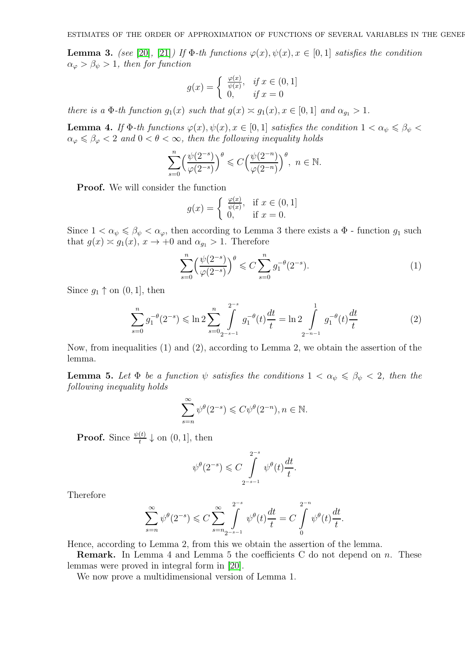**Lemma 3.** *(see* [\[20\]](#page-16-13), [\[21\]](#page-16-14)*)* If  $\Phi$ -th functions  $\varphi(x), \psi(x), x \in [0, 1]$  satisfies the condition  $\alpha_{\varphi} > \beta_{\psi} > 1$ , then for function

$$
g(x) = \begin{cases} \frac{\varphi(x)}{\psi(x)}, & \text{if } x \in (0, 1] \\ 0, & \text{if } x = 0 \end{cases}
$$

*there is a*  $\Phi$ *-th function*  $g_1(x)$  *such that*  $g(x) \simeq g_1(x), x \in [0, 1]$  *and*  $\alpha_{g_1} > 1$ *.* 

**Lemma 4.** If  $\Phi$ -th functions  $\varphi(x), \psi(x), x \in [0, 1]$  satisfies the condition  $1 < \alpha_{\psi} \leq \beta_{\psi} <$  $\alpha_{\varphi} \leq \beta_{\varphi} < 2$  *and*  $0 < \theta < \infty$ *, then the following inequality holds* 

$$
\sum_{s=0}^n\Bigl(\frac{\psi(2^{-s})}{\varphi(2^{-s})}\Bigr)^{\theta}\leqslant C\Bigl(\frac{\psi(2^{-n})}{\varphi(2^{-n})}\Bigr)^{\theta},\ n\in\mathbb{N}.
$$

Proof. We will consider the function

$$
g(x) = \begin{cases} \frac{\varphi(x)}{\psi(x)}, & \text{if } x \in (0, 1] \\ 0, & \text{if } x = 0. \end{cases}
$$

Since  $1 < \alpha_{\psi} \leq \beta_{\psi} < \alpha_{\varphi}$ , then according to Lemma 3 there exists a  $\Phi$  - function  $g_1$  such that  $g(x) \approx g_1(x), x \to +0$  and  $\alpha_{g_1} > 1$ . Therefore

$$
\sum_{s=0}^{n} \left(\frac{\psi(2^{-s})}{\varphi(2^{-s})}\right)^{\theta} \leq C \sum_{s=0}^{n} g_1^{-\theta}(2^{-s}).\tag{1}
$$

Since  $g_1 \uparrow$  on  $(0, 1]$ , then

$$
\sum_{s=0}^{n} g_1^{-\theta} (2^{-s}) \leqslant \ln 2 \sum_{s=0}^{n} \int_{2^{-s-1}}^{2^{-s}} g_1^{-\theta} (t) \frac{dt}{t} = \ln 2 \int_{2^{-n-1}}^{1} g_1^{-\theta} (t) \frac{dt}{t}
$$
 (2)

Now, from inequalities (1) and (2), according to Lemma 2, we obtain the assertion of the lemma.

**Lemma 5.** Let  $\Phi$  be a function  $\psi$  satisfies the conditions  $1 < \alpha_{\psi} \leq \beta_{\psi} < 2$ , then the *following inequality holds*

$$
\sum_{s=n}^{\infty} \psi^{\theta}(2^{-s}) \leqslant C\psi^{\theta}(2^{-n}), n \in \mathbb{N}.
$$

**Proof.** Since  $\frac{\psi(t)}{t} \downarrow$  on  $(0, 1]$ , then

$$
\psi^{\theta}(2^{-s}) \leqslant C \int\limits_{2^{-s-1}}^{2^{-s}} \psi^{\theta}(t) \frac{dt}{t}.
$$

Therefore

$$
\sum_{s=n}^{\infty} \psi^{\theta}(2^{-s}) \leq C \sum_{s=n_2-s-1}^{\infty} \int_{s=n_1-s}^{2^{-s}} \psi^{\theta}(t) \frac{dt}{t} = C \int_{0}^{2^{-n}} \psi^{\theta}(t) \frac{dt}{t}.
$$

Hence, according to Lemma 2, from this we obtain the assertion of the lemma.

**Remark.** In Lemma 4 and Lemma 5 the coefficients C do not depend on n. These lemmas were proved in integral form in [\[20\]](#page-16-13).

We now prove a multidimensional version of Lemma 1.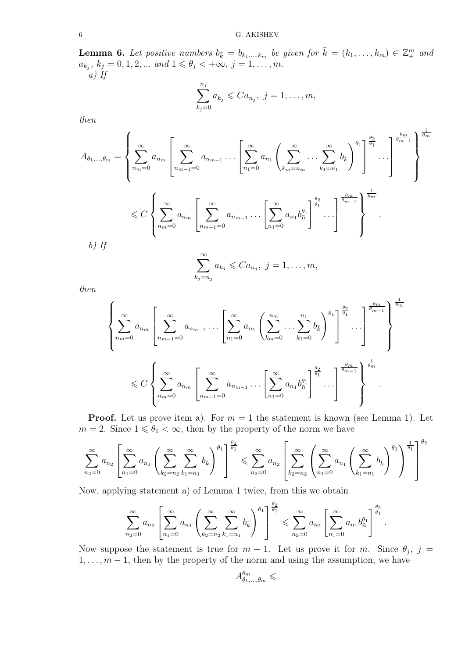**Lemma 6.** Let positive numbers  $b_{\bar{k}} = b_{k_1,\dots,k_m}$  be given for  $\bar{k} = (k_1, \dots, k_m) \in \mathbb{Z}_+^m$  and  $a_{k_j}, k_j = 0, 1, 2, \dots \text{ and } 1 \leq \theta_j < +\infty, j = 1, \dots, m.$ *a) If*

$$
\sum_{k_j=0}^{n_j} a_{k_j} \leq C a_{n_j}, \ j = 1, \dots, m,
$$

1

*then*

A<sup>θ</sup>1,...,θ<sup>m</sup> = X∞ nm=0 a<sup>n</sup><sup>m</sup> X∞ nm−1=0 a<sup>n</sup>m−<sup>1</sup> . . . X∞ n1=0 a<sup>n</sup><sup>1</sup> X<sup>∞</sup> km=nm . . . <sup>X</sup><sup>∞</sup> k1=n<sup>1</sup> bk¯ !<sup>θ</sup><sup>1</sup> θ2 θ1 . . . θm θm−1 θm 6 C X∞ nm=0 a<sup>n</sup><sup>m</sup> X∞ nm−1=0 a<sup>n</sup>m−<sup>1</sup> . . . "X<sup>∞</sup> n1=0 a<sup>n</sup><sup>1</sup> b θ1 n¯ # θ2 θ1 . . . θm θm−1 1 θm . *b) If* X∞ , j = 1, . . . , m,

$$
\sum_{k_j=n_j} a_{k_j} \leqslant Ca_{n_j}, \ j=1,\ldots
$$

*then*

$$
\left\{\sum_{n_m=0}^{\infty} a_{n_m} \left[\sum_{n_{m-1}=0}^{\infty} a_{n_{m-1}} \cdots \left[\sum_{n_1=0}^{\infty} a_{n_1} \left(\sum_{k_m=0}^{n_m} \cdots \sum_{k_1=0}^{n_1} b_{\overline{k}}\right)^{\theta_1}\right]^{\frac{\theta_2}{\theta_1}} \cdots \right]^{\frac{\theta_m}{\theta_{m-1}}} \right\}^{\frac{\theta_m}{\theta_m}}
$$
  

$$
\leq C \left\{\sum_{n_m=0}^{\infty} a_{n_m} \left[\sum_{n_{m-1}=0}^{\infty} a_{n_{m-1}} \cdots \left[\sum_{n_1=0}^{\infty} a_{n_1} b_{\overline{n}}^{\theta_1}\right]^{\frac{\theta_2}{\theta_1}} \cdots \right]^{\frac{\theta_m}{\theta_{m-1}}} \right\}^{\frac{\theta_m}{\theta_m}}
$$

**Proof.** Let us prove item a). For  $m = 1$  the statement is known (see Lemma 1). Let  $m=2.$  Since  $1\leqslant \theta_1<\infty,$  then by the property of the norm we have

$$
\sum_{n_2=0}^{\infty} a_{n_2} \left[ \sum_{n_1=0}^{\infty} a_{n_1} \left( \sum_{k_2=n_2}^{\infty} \sum_{k_1=n_1}^{\infty} b_{k} \right)^{\theta_1} \right]^{\frac{\theta_2}{\theta_1}} \leq \sum_{n_2=0}^{\infty} a_{n_2} \left[ \sum_{k_2=n_2}^{\infty} \left( \sum_{n_1=0}^{\infty} a_{n_1} \left( \sum_{k_1=n_1}^{\infty} b_{k} \right)^{\theta_1} \right)^{\frac{1}{\theta_1}} \right]^{\theta_2}
$$

Now, applying statement a) of Lemma 1 twice, from this we obtain

$$
\sum_{n_2=0}^{\infty} a_{n_2} \left[ \sum_{n_1=0}^{\infty} a_{n_1} \left( \sum_{k_2=n_2}^{\infty} \sum_{k_1=n_1}^{\infty} b_{\bar{k}} \right)^{\theta_1} \right]^{\frac{\theta_2}{\theta_1}} \leqslant \sum_{n_2=0}^{\infty} a_{n_2} \left[ \sum_{n_1=0}^{\infty} a_{n_1} b_{\bar{n}}^{\theta_1} \right]^{\frac{\theta_2}{\theta_1}}.
$$

Now suppose the statement is true for  $m-1$ . Let us prove it for m. Since  $\theta_j$ ,  $j =$  $1, \ldots, m-1$ , then by the property of the norm and using the assumption, we have

$$
A^{\theta_m}_{\theta_1,\dots,\theta_m}\leqslant
$$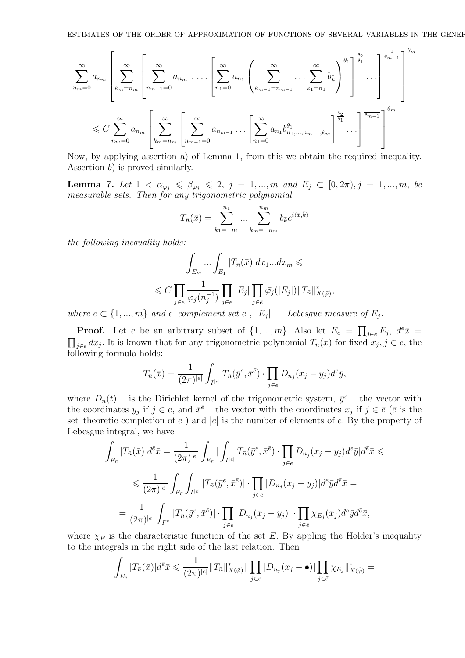$$
\sum_{n_{m}=0}^{\infty} a_{n_{m}} \left[ \sum_{k_{m}=n_{m}}^{\infty} \left[ \sum_{n_{m-1}=0}^{\infty} a_{n_{m-1}} \dots \left[ \sum_{n_{1}=0}^{\infty} a_{n_{1}} \left( \sum_{k_{m-1}=n_{m-1}}^{\infty} \dots \sum_{k_{1}=n_{1}}^{\infty} b_{k} \right)^{\theta_{1}} \right]^{\frac{\theta_{2}}{\theta_{1}}} \dots \right]^{\frac{1}{\theta_{m-1}}} \right]^{ \theta_{m}}
$$
  

$$
\leq C \sum_{n_{m}=0}^{\infty} a_{n_{m}} \left[ \sum_{k_{m}=n_{m}}^{\infty} \left[ \sum_{n_{m-1}=0}^{\infty} a_{n_{m-1}} \dots \left[ \sum_{n_{1}=0}^{\infty} a_{n_{1}} b_{n_{1},...,n_{m-1},k_{m}}^{\theta_{1}} \right]^{\frac{\theta_{2}}{\theta_{1}}} \dots \right]^{\frac{1}{\theta_{m-1}}} \right]^{\theta_{m}}
$$

Now, by applying assertion a) of Lemma 1, from this we obtain the required inequality. Assertion b) is proved similarly.

**Lemma 7.** Let  $1 < \alpha_{\varphi_j} \leq \beta_{\varphi_j} \leq 2$ ,  $j = 1, ..., m$  and  $E_j \subset [0, 2\pi), j = 1, ..., m$ , be *measurable sets. Then for any trigonometric polynomial*

$$
T_{\bar{n}}(\bar{x}) = \sum_{k_1 = -n_1}^{n_1} \dots \sum_{k_m = -n_m}^{n_m} b_{\bar{k}} e^{i \langle \bar{x}, \bar{k} \rangle}
$$

*the following inequality holds:*

$$
\int_{E_m} \dots \int_{E_1} |T_{\bar{n}}(\bar{x})| dx_1 \dots dx_m \le
$$
  

$$
\leq C \prod_{j \in e} \frac{1}{\varphi_j(n_j^{-1})} \prod_{j \in e} |E_j| \prod_{j \in \bar{e}} \bar{\varphi}_j(|E_j|) \|T_{\bar{n}}\|_{X(\bar{\varphi})}^*,
$$

where  $e \in \{1, ..., m\}$  and  $\overline{e}$ -complement set  $e$ ,  $|E_j|$  *— Lebesgue measure of*  $E_j$ .

**Proof.** Let e be an arbitrary subset of  $\{1, ..., m\}$ . Also let  $E_e = \prod_{j \in e} E_j$ ,  $d^e \bar{x} =$  $\prod_{j\in e} dx_j$ . It is known that for any trigonometric polynomial  $T_{\bar{n}}(\bar{x})$  for fixed  $x_j, j \in \bar{e}$ , the following formula holds:

$$
T_{\bar{n}}(\bar{x}) = \frac{1}{(2\pi)^{|e|}} \int_{I^{|e|}} T_{\bar{n}}(\bar{y}^e, \bar{x}^{\bar{e}}) \cdot \prod_{j \in e} D_{n_j}(x_j - y_j) d^e \bar{y},
$$

where  $D_n(t)$  – is the Dirichlet kernel of the trigonometric system,  $\bar{y}^e$  – the vector with the coordinates  $y_j$  if  $j \in e$ , and  $\bar{x}^{\bar{e}}$  – the vector with the coordinates  $x_j$  if  $j \in \bar{e}$  ( $\bar{e}$  is the set–theoretic completion of  $e$ ) and  $|e|$  is the number of elements of  $e$ . By the property of Lebesgue integral, we have

$$
\int_{E_{\bar{e}}} |T_{\bar{n}}(\bar{x})|d^{\bar{e}}\bar{x} = \frac{1}{(2\pi)^{|e|}} \int_{E_{\bar{e}}} |\int_{I^{|e|}} T_{\bar{n}}(\bar{y}^e, \bar{x}^{\bar{e}}) \cdot \prod_{j \in e} D_{n_j}(x_j - y_j) d^e \bar{y}|d^{\bar{e}}\bar{x} \le
$$
\n
$$
\leq \frac{1}{(2\pi)^{|e|}} \int_{E_{\bar{e}}} \int_{I^{|e|}} |T_{\bar{n}}(\bar{y}^e, \bar{x}^{\bar{e}})| \cdot \prod_{j \in e} |D_{n_j}(x_j - y_j)|d^e \bar{y}d^{\bar{e}}\bar{x} =
$$
\n
$$
= \frac{1}{(2\pi)^{|e|}} \int_{I^m} |T_{\bar{n}}(\bar{y}^e, \bar{x}^{\bar{e}})| \cdot \prod_{j \in e} |D_{n_j}(x_j - y_j)| \cdot \prod_{j \in \bar{e}} \chi_{E_j}(x_j) d^e \bar{y}d^{\bar{e}}\bar{x},
$$

where  $\chi_E$  is the characteristic function of the set E. By appling the Hölder's inequality to the integrals in the right side of the last relation. Then

$$
\int_{E_{\bar{e}}} |T_{\bar{n}}(\bar{x})|d^{\bar{e}}\bar{x} \leq \frac{1}{(2\pi)^{|e|}} \|T_{\bar{n}}\|_{X(\bar{\varphi})}^* \|\prod_{j\in e} |D_{n_j}(x_j - \bullet)| \prod_{j\in \bar{e}} \chi_{E_j}\|_{X(\bar{\tilde{\varphi}})}^* =
$$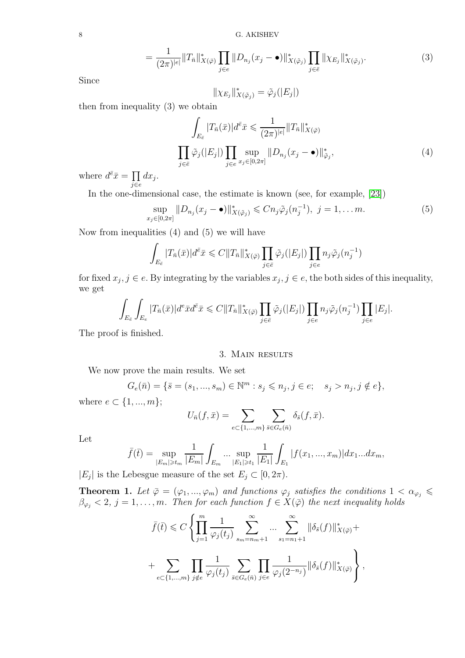8 G. AKISHEV

$$
= \frac{1}{(2\pi)^{|\epsilon|}} \|T_{\bar{n}}\|_{X(\bar{\varphi})}^* \prod_{j \in \epsilon} \|D_{n_j}(x_j - \bullet)\|_{X(\tilde{\varphi}_j)}^* \prod_{j \in \bar{\epsilon}} \|\chi_{E_j}\|_{X(\tilde{\varphi}_j)}^*.
$$
 (3)

Since

$$
\|\chi_{E_j}\|_{X(\tilde{\varphi}_j)}^*=\tilde{\varphi}_j(|E_j|)
$$

then from inequality (3) we obtain

$$
\int_{E_{\bar{e}}} |T_{\bar{n}}(\bar{x})| d^{\bar{e}} \bar{x} \leq \frac{1}{(2\pi)^{|\epsilon|}} \|T_{\bar{n}}\|_{X(\bar{\varphi})}^*
$$
\n
$$
\prod_{j \in \bar{e}} \tilde{\varphi}_j(|E_j|) \prod_{j \in e} \sup_{x_j \in [0, 2\pi]} \|D_{n_j}(x_j - \bullet)\|_{\tilde{\varphi}_j}^*,
$$
\n(4)

where  $d^{\bar{e}}\bar{x} = \prod$ j∈e  $dx_j$ .

In the one-dimensional case, the estimate is known (see, for example, [\[23\]](#page-17-1))

$$
\sup_{x_j \in [0,2\pi]} \|D_{n_j}(x_j - \bullet)\|_{X(\tilde{\varphi}_j)}^* \leq C n_j \tilde{\varphi}_j(n_j^{-1}), \ j = 1, \dots m. \tag{5}
$$

Now from inequalities (4) and (5) we will have

$$
\int_{E_{\bar{e}}} |T_{\bar{n}}(\bar{x})|d^{\bar{e}}\bar{x} \leq C||T_{\bar{n}}||_{X(\bar{\varphi})}^* \prod_{j \in \bar{e}} \tilde{\varphi}_j(|E_j|) \prod_{j \in e} n_j \tilde{\varphi}_j(n_j^{-1})
$$

for fixed  $x_j, j \in e$ . By integrating by the variables  $x_j, j \in e$ , the both sides of this inequality, we get

$$
\int_{E_{\bar{e}}} \int_{E_e} |T_{\bar{n}}(\bar{x})| d^e \bar{x} d^{\bar{e}} \bar{x} \leq C ||T_{\bar{n}}||_{X(\bar{\varphi})}^* \prod_{j \in \bar{e}} \tilde{\varphi}_j(|E_j|) \prod_{j \in e} n_j \tilde{\varphi}_j(n_j^{-1}) \prod_{j \in e} |E_j|.
$$

The proof is finished.

## 3. Main results

We now prove the main results. We set

$$
G_e(\bar{n}) = \{ \bar{s} = (s_1, ..., s_m) \in \mathbb{N}^m : s_j \leqslant n_j, j \in e; \quad s_j > n_j, j \notin e \},
$$

where  $e \in \{1, ..., m\};$ 

$$
U_{\bar{n}}(f,\bar{x}) = \sum_{e \subset \{1,\dots,m\}} \sum_{\bar{s} \in G_e(\bar{n})} \delta_{\bar{s}}(f,\bar{x}).
$$

Let

$$
\bar{f}(\bar{t}) = \sup_{|E_m| \ge t_m} \frac{1}{|E_m|} \int_{E_m} \dots \sup_{|E_1| \ge t_1} \frac{1}{|E_1|} \int_{E_1} |f(x_1, ..., x_m)| dx_1...dx_m,
$$

 $|E_j|$  is the Lebesgue measure of the set  $E_j \subset [0, 2\pi)$ .

**Theorem 1.** Let  $\bar{\varphi} = (\varphi_1, ..., \varphi_m)$  and functions  $\varphi_j$  satisfies the conditions  $1 < \alpha_{\varphi_j} \leq$  $\beta_{\varphi_j} < 2, j = 1, \ldots, m$ . Then for each function  $f \in X(\overline{\varphi})$  the next inequality holds

$$
\bar{f}(\bar{t}) \leq C \left\{ \prod_{j=1}^{m} \frac{1}{\varphi_j(t_j)} \sum_{s_m=n_m+1}^{\infty} \dots \sum_{s_1=n_1+1}^{\infty} \|\delta_{\bar{s}}(f)\|_{X(\bar{\varphi})}^* + \sum_{e \subset \{1,\dots,m\}} \prod_{j \notin e} \frac{1}{\varphi_j(t_j)} \sum_{\bar{s} \in G_e(\bar{n})} \prod_{j \in e} \frac{1}{\varphi_j(2^{-n_j})} \|\delta_{\bar{s}}(f)\|_{X(\bar{\varphi})}^* \right\},
$$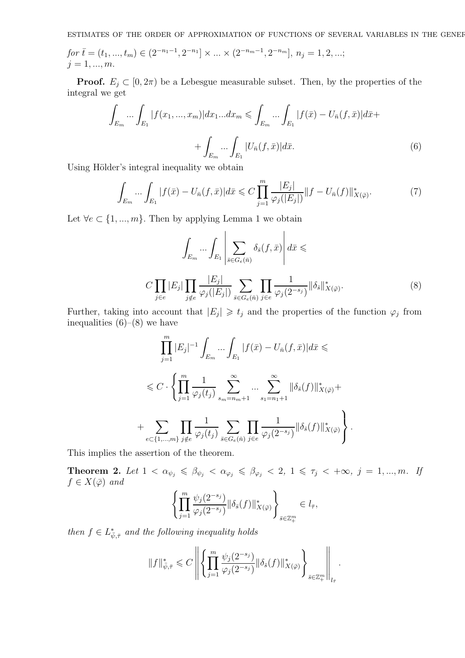ESTIMATES OF THE ORDER OF APPROXIMATION OF FUNCTIONS OF SEVERAL VARIABLES IN THE GENEF

*for*  $\bar{t} = (t_1, ..., t_m) \in (2^{-n_1-1}, 2^{-n_1}] \times ... \times (2^{-n_m-1}, 2^{-n_m}], n_j = 1, 2, ...;$  $j = 1, ..., m$ .

**Proof.**  $E_i \subset [0, 2\pi)$  be a Lebesgue measurable subset. Then, by the properties of the integral we get

$$
\int_{E_m} \dots \int_{E_1} |f(x_1, \dots, x_m)| dx_1 \dots dx_m \le \int_{E_m} \dots \int_{E_1} |f(\bar{x}) - U_{\bar{n}}(f, \bar{x})| d\bar{x} + \int_{E_m} \dots \int_{E_1} |U_{\bar{n}}(f, \bar{x})| d\bar{x}.
$$
\n(6)

Using Hölder's integral inequality we obtain

$$
\int_{E_m} \dots \int_{E_1} |f(\bar{x}) - U_{\bar{n}}(f, \bar{x})| d\bar{x} \leq C \prod_{j=1}^m \frac{|E_j|}{\varphi_j(|E_j|)} \|f - U_{\bar{n}}(f)\|_{X(\bar{\varphi})}^*.
$$
\n(7)

Let  $\forall e \in \{1, ..., m\}$ . Then by applying Lemma 1 we obtain

$$
\int_{E_m} \cdots \int_{E_1} \left| \sum_{\bar{s} \in G_e(\bar{n})} \delta_{\bar{s}}(f, \bar{x}) \right| d\bar{x} \le
$$
\n
$$
C \prod_{j \in e} |E_j| \prod_{j \notin e} \frac{|E_j|}{\varphi_j(|E_j|)} \sum_{\bar{s} \in G_e(\bar{n})} \prod_{j \in e} \frac{1}{\varphi_j(2^{-s_j})} \|\delta_{\bar{s}}\|_{X(\bar{\varphi})}^*.
$$
\n
$$
(8)
$$

Further, taking into account that  $|E_j| \geq t_j$  and the properties of the function  $\varphi_j$  from inequalities  $(6)-(8)$  we have

$$
\prod_{j=1}^{m} |E_j|^{-1} \int_{E_m} \dots \int_{E_1} |f(\bar{x}) - U_{\bar{n}}(f, \bar{x})| d\bar{x} \le
$$
  

$$
\leq C \cdot \left\{ \prod_{j=1}^{m} \frac{1}{\varphi_j(t_j)} \sum_{s_m = n_m + 1}^{\infty} \dots \sum_{s_1 = n_1 + 1}^{\infty} \|\delta_{\bar{s}}(f)\|_{X(\bar{\varphi})}^* + \sum_{e \subset \{1, \dots, m\}} \prod_{j \notin e} \frac{1}{\varphi_j(t_j)} \sum_{\bar{s} \in G_e(\bar{n})} \prod_{j \in e} \frac{1}{\varphi_j(2^{-s_j})} \|\delta_{\bar{s}}(f)\|_{X(\bar{\varphi})}^* \right\}.
$$

This implies the assertion of the theorem.

**Theorem 2.** Let  $1 < \alpha_{\psi_j} \leq \beta_{\psi_j} < \alpha_{\varphi_j} \leq \beta_{\varphi_j} < 2, 1 \leq \tau_j < +\infty, j = 1, ..., m$ . If  $f \in X(\bar{\varphi})$  and

$$
\left\{\prod_{j=1}^m \frac{\psi_j(2^{-s_j})}{\varphi_j(2^{-s_j})} \|\delta_{\bar{s}}(f)\|_{X(\bar{\varphi})}^*\right\}_{\bar{s}\in \mathbb{Z}_+^m} \in l_{\bar{\tau}},
$$

*then*  $f \in L^*_{\bar{\psi}, \bar{\tau}}$  *and the following inequality holds* 

$$
||f||_{\bar{\psi},\bar{\tau}}^* \leqslant C \left\| \left\{ \prod_{j=1}^m \frac{\psi_j(2^{-s_j})}{\varphi_j(2^{-s_j})} \|\delta_{\bar{s}}(f)\|_{X(\bar{\varphi})}^* \right\}_{\bar{s}\in \mathbb{Z}_+^m} \right\|_{l_{\bar{\tau}}}.
$$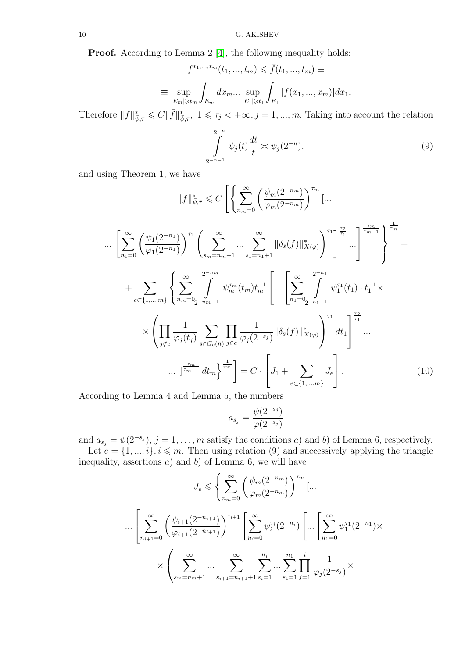Proof. According to Lemma 2 [\[4\]](#page-16-3), the following inequality holds:

$$
f^{*1, ..., *m}(t_1, ..., t_m) \leq \bar{f}(t_1, ..., t_m) \equiv
$$
  

$$
\equiv \sup_{|E_m| \geq t_m} \int_{E_m} dx_m ... \sup_{|E_1| \geq t_1} \int_{E_1} |f(x_1, ..., x_m)| dx_1.
$$

Therefore  $||f||_{\bar{\psi},\bar{\tau}}^* \leqslant C ||\bar{f}||_{\bar{\psi},\bar{\tau}}^*$ ,  $1 \leqslant \tau_j < +\infty, j = 1, ..., m$ . Taking into account the relation

$$
\int_{2^{-n-1}}^{2^{-n}} \psi_j(t) \frac{dt}{t} \approx \psi_j(2^{-n}).
$$
\n(9)

and using Theorem 1, we have

$$
||f||_{\psi,\bar{\tau}}^{*} \leq C \left[ \left\{ \sum_{n_{m}=0}^{\infty} \left( \frac{\psi_{m}(2^{-n_{m}})}{\varphi_{m}(2^{-n_{m}})} \right)^{\tau_{m}} \left[ \dots \right. \right. \right. \left. \left. \sum_{n_{1}=0}^{\infty} \left( \frac{\psi_{1}(2^{-n_{1}})}{\varphi_{1}(2^{-n_{1}})} \right)^{\tau_{1}} \left( \sum_{s_{m}=n_{m}+1}^{\infty} \dots \sum_{s_{1}=n_{1}+1}^{\infty} ||\delta_{\bar{s}}(f)||_{X(\bar{\varphi})}^{*} \right)^{\tau_{1}} \right] \right]^{\frac{\tau_{2}}{\tau_{1}}} \cdots \left[ \sum_{r=1}^{\tau_{m-1}} \left[ \sum_{n_{1}=0}^{\infty} \frac{2^{-n_{m}}}{\varphi_{1}(2^{-n_{1}})} \right] \right]^{\frac{\tau_{2}}{\tau_{m}}} \left. + \sum_{e \in \{1, \dots, m\}} \left\{ \sum_{n_{m}=0}^{\infty} \sum_{2-n_{m-1}}^{\infty} \psi_{m}^{\tau_{m}}(t_{m}) t_{m}^{-1} \left[ \dots \left[ \sum_{n_{1}=0}^{\infty} \sum_{2-n_{1}-1}^{\infty} \psi_{1}^{\tau_{1}}(t_{1}) \cdot t_{1}^{-1} \times \right. \right. \right. \left. \left. \sum_{j \notin e} \frac{1}{\varphi_{j}(t_{j})} \sum_{s \in G_{e}(\bar{n})} \prod_{j \in e} \frac{1}{\varphi_{j}(2^{-s_{j}})} ||\delta_{\bar{s}}(f)||_{X(\bar{\varphi})}^{*} \right)^{\tau_{1}} dt_{1} \right]^{\frac{\tau_{2}}{\tau_{1}}} \cdots \right]
$$
\n
$$
\dots \left[ \frac{\tau_{m}}{\tau_{m-1}} dt_{m} \right\}^{\frac{\tau_{m}}{\tau_{m}}} = C \cdot \left[ J_{1} + \sum_{e \in \{1, \dots, m\}} J_{e} \right]. \tag{10}
$$

According to Lemma 4 and Lemma 5, the numbers

$$
a_{s_j} = \frac{\psi(2^{-s_j})}{\varphi(2^{-s_j})}
$$

and  $a_{s_j} = \psi(2^{-s_j}), j = 1, \ldots, m$  satisfy the conditions a) and b) of Lemma 6, respectively. Let  $e = \{1, ..., i\}, i \leq m$ . Then using relation (9) and successively applying the triangle inequality, assertions  $a)$  and  $b)$  of Lemma 6, we will have

$$
J_e \leqslant \left\{ \sum_{n_m=0}^{\infty} \left( \frac{\psi_m(2^{-n_m})}{\varphi_m(2^{-n_m})} \right)^{\tau_m} \left[ \dots \right. \right.\n\cdots \left[ \sum_{n_{i+1}=0}^{\infty} \left( \frac{\psi_{i+1}(2^{-n_{i+1}})}{\varphi_{i+1}(2^{-n_{i+1}})} \right)^{\tau_{i+1}} \left[ \sum_{n_i=0}^{\infty} \psi_i^{\tau_i}(2^{-n_i}) \left[ \dots \left[ \sum_{n_1=0}^{\infty} \psi_i^{\tau_1}(2^{-n_1}) \times \right. \right.\n\right.\n\times \left( \sum_{s_m=n_m+1}^{\infty} \dots \sum_{s_{i+1}=n_{i+1}+1}^{\infty} \sum_{s_i=1}^{n_i} \dots \sum_{s_1=1}^{n_1} \prod_{j=1}^i \frac{1}{\varphi_j(2^{-s_j})} \right.\n\right.
$$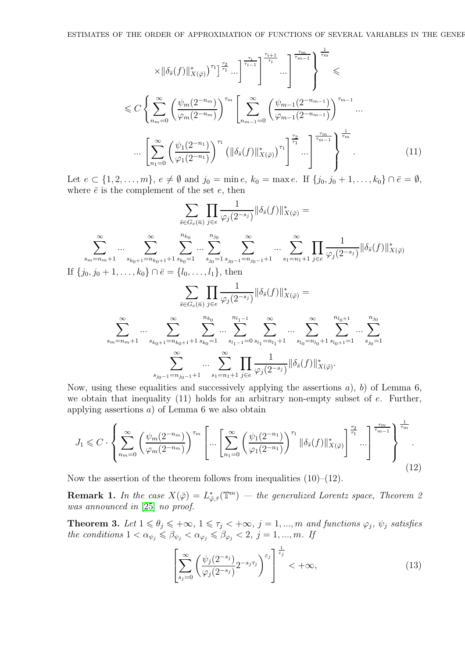$$
\times \|\delta_{\bar{s}}(f)\|_{X(\bar{\varphi})}^{*}\right)^{\tau_{1}} \Big]^{\frac{\tau_{2}}{\tau_{1}}}\dots \Big]^{\frac{\tau_{i}}{\tau_{i-1}}}\Bigg]^{\frac{\tau_{i+1}}{\tau_{i}}} \dots \Bigg]^{\frac{\tau_{m}}{\tau_{m-1}}}\Bigg]^{\frac{\tau_{m}}{\tau_{m-1}}}\Bigg} \leqslant
$$
  

$$
\leqslant C \left\{\sum_{n_{m}=0}^{\infty} \left(\frac{\psi_{m}(2^{-n_{m}})}{\varphi_{m}(2^{-n_{m}})}\right)^{\tau_{m}} \left[\sum_{n_{m-1}=0}^{\infty} \left(\frac{\psi_{m-1}(2^{-n_{m-1}})}{\varphi_{m-1}(2^{-n_{m-1}})}\right)^{\tau_{m-1}} \dots \right]^{\frac{\tau_{m}}{\tau_{m-1}}}\Bigg]^{\frac{\tau_{m}}{\tau_{m-1}}}\Bigg]^{\frac{\tau_{m}}{\tau_{m-1}}}\Bigg]^{\frac{\tau_{m}}{\tau_{m-1}}}\Bigg]^{\frac{\tau_{m}}{\tau_{m}}} \dots \Bigg]^{\frac{\tau_{m}}{\tau_{m}}} \tag{11}
$$

Let  $e \subset \{1, 2, \ldots, m\}, e \neq \emptyset$  and  $j_0 = \min e, k_0 = \max e$ . If  $\{j_0, j_0 + 1, \ldots, k_0\} \cap \overline{e} = \emptyset$ , where  $\bar{e}$  is the complement of the set  $e$ , then

$$
\sum_{\bar{s}\in G_{e}(\bar{n})} \prod_{j\in e} \frac{1}{\varphi_{j}(2^{-s_{j}})} \|\delta_{\bar{s}}(f)\|_{X(\bar{\varphi})}^{*} =
$$
\n
$$
\sum_{s_{m}=n_{m}+1}^{\infty} \cdots \sum_{s_{k_{0}+1}=n_{k_{0}+1}+1}^{\infty} \sum_{s_{k_{0}}=1}^{n_{k_{0}}} \cdots \sum_{s_{j_{0}=1}}^{n_{j_{0}}} \sum_{s_{j_{0}-1}=n_{j_{0}-1}+1}^{\infty} \cdots \sum_{s_{1}=n_{1}+1}^{\infty} \prod_{j\in e} \frac{1}{\varphi_{j}(2^{-s_{j}})} \|\delta_{\bar{s}}(f)\|_{X(\bar{\varphi})}^{*}
$$
\nIf  $\{j_{0}, j_{0}+1, \ldots, k_{0}\} \cap \bar{e} = \{l_{0}, \ldots, l_{1}\}, \text{ then}$ \n
$$
\sum_{\bar{s}\in G_{e}(\bar{n})} \prod_{j\in e} \frac{1}{\varphi_{j}(2^{-s_{j}})} \|\delta_{\bar{s}}(f)\|_{X(\bar{\varphi})}^{*} =
$$
\n
$$
\sum_{s_{m}=n_{m}+1}^{\infty} \cdots \sum_{s_{k_{0}+1}=n_{k_{0}+1}+1}^{n_{k_{0}}} \sum_{s_{k_{0}=1}}^{n_{k_{0}}} \cdots \sum_{s_{l_{1}-1}=0}^{\infty} \sum_{s_{l_{1}-1}=0}^{\infty} \sum_{s_{l_{1}}=n_{l_{1}}+1}^{\infty} \cdots \sum_{s_{l_{0}}=n_{l_{0}}+1}^{n_{l_{0}+1}} \sum_{s_{l_{0}+1}=1}^{n_{j_{0}}} \cdots \sum_{s_{j_{0}=1}}^{n_{j_{0}}}
$$

$$
\sum_{s_{j_0-1}=n_{j_0-1}+1}^{\infty}\ldots\sum_{s_1=n_1+1}^{\infty}\prod_{j\in e}\frac{1}{\varphi_j(2^{-s_j})}\|\delta_{\bar{s}}(f)\|^*_{X(\bar{\varphi})}.
$$

Now, using these equalities and successively applying the assertions  $a$ ,  $b$ ) of Lemma 6, we obtain that inequality  $(11)$  holds for an arbitrary non-empty subset of e. Further, applying assertions a) of Lemma 6 we also obtain

$$
J_1 \leqslant C \cdot \left\{ \sum_{n_m=0}^{\infty} \left( \frac{\psi_m(2^{-n_m})}{\varphi_m(2^{-n_m})} \right)^{\tau_m} \left[ \dots \left[ \sum_{n_1=0}^{\infty} \left( \frac{\psi_1(2^{-n_1})}{\varphi_1(2^{-n_1})} \right)^{\tau_1} \|\delta_{\bar{s}}(f)\|_{X(\bar{\varphi})}^* \right]^{\frac{\tau_2}{\tau_1}} \dots \right]^{\frac{\tau_m}{\tau_{m-1}}} \right\}^{\frac{1}{\tau_m}}.
$$
\n
$$
(12)
$$

Now the assertion of the theorem follows from inequalities  $(10)$ – $(12)$ .

**Remark 1.** In the case  $X(\bar{\varphi}) = L^*_{\bar{\varphi}, \bar{\tau}}(\mathbb{T}^m)$  — the generalized Lorentz space, Theorem 2 *was announced in* [\[25\]](#page-17-2) *no proof.*

**Theorem 3.** Let  $1 \le \theta_j \le +\infty$ ,  $1 \le \tau_j < +\infty$ ,  $j = 1, ..., m$  and functions  $\varphi_j$ ,  $\psi_j$  satisfies *the conditions*  $1 < \alpha_{\psi_j} \leq \beta_{\psi_j} < \alpha_{\varphi_j} \leq \beta_{\varphi_j} < 2, j = 1, ..., m$ *. If* 

$$
\left[\sum_{s_j=0}^{\infty} \left(\frac{\psi_j(2^{-s_j})}{\varphi_j(2^{-s_j})} 2^{-s_j \tau_j}\right)^{\varepsilon_j}\right]^{\frac{1}{\varepsilon_j}} < +\infty,
$$
\n(13)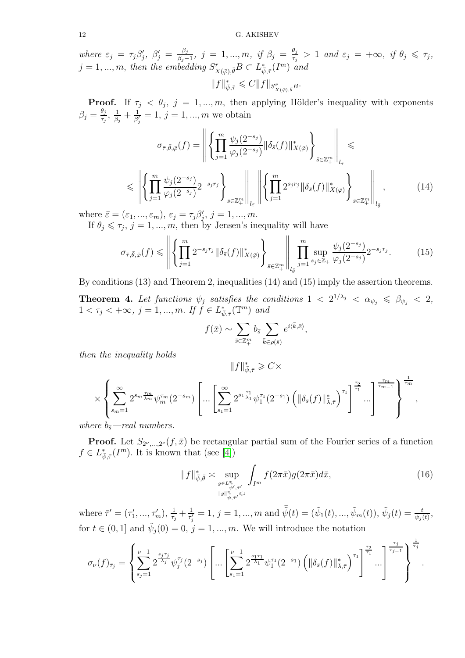12 G. AKISHEV

*where*  $\varepsilon_j = \tau_j \beta'_j$ ,  $\beta'_j = \frac{\beta_j}{\beta_j - \beta_j}$  $\frac{\beta_j}{\beta_j-1}$ *, j* = 1, ..., *m, if*  $\beta_j = \frac{\theta_j}{\tau_j}$  $\frac{\theta_j}{\tau_j} > 1$  and  $\varepsilon_j = +\infty$ , if  $\theta_j \leq \tau_j$ ,  $j = 1, ..., m$ , then the embedding  $S^{\bar{r}}_{X(\bar{\varphi}), \bar{\theta}} B \subset L^*_{\bar{\psi}, \bar{\tau}}(I^m)$  and  $\|f\|^*_{\bar \psi,\bar \tau}\leqslant C \|f\|_{S^{\bar r}_{X(\bar \varphi),\bar \theta}B}.$ 

**Proof.** If  $\tau_j < \theta_j$ ,  $j = 1, ..., m$ , then applying Hölder's inequality with exponents  $\beta_j = \frac{\theta_j}{\tau_j}$  $\frac{\theta_j}{\tau_j}, \frac{1}{\beta_j}$  $\frac{1}{\beta_j}+\frac{1}{\beta_j'}$  $\frac{1}{\beta'_j} = 1, j = 1, ..., m$  we obtain

$$
\sigma_{\bar{\tau},\bar{\theta},\bar{\varphi}}(f) = \left\| \left\{ \prod_{j=1}^{m} \frac{\psi_j(2^{-s_j})}{\varphi_j(2^{-s_j})} \|\delta_{\bar{s}}(f)\|_{X(\bar{\varphi})}^* \right\}_{\bar{s} \in \mathbb{Z}_+^m} \right\|_{l_{\bar{\tau}}} \leq \left\| \left\{ \prod_{j=1}^{m} \frac{\psi_j(2^{-s_j})}{\varphi_j(2^{-s_j})} 2^{-s_j r_j} \right\}_{\bar{s} \in \mathbb{Z}_+^m} \right\|_{l_{\bar{\varepsilon}}} \left\| \left\{ \prod_{j=1}^{m} 2^{s_j r_j} \|\delta_{\bar{s}}(f)\|_{X(\bar{\varphi})}^* \right\}_{\bar{s} \in \mathbb{Z}_+^m} \right\|_{l_{\bar{\theta}}} , \tag{14}
$$

where  $\bar{\varepsilon} = (\varepsilon_1, ..., \varepsilon_m), \varepsilon_j = \tau_j \beta'_j, j = 1, ..., m.$ 

If  $\theta_j \leq \tau_j$ ,  $j = 1, ..., m$ , then by Jensen's inequality will have

$$
\sigma_{\bar{\tau},\bar{\theta},\bar{\varphi}}(f) \leq \left\| \left\{ \prod_{j=1}^{m} 2^{-s_j r_j} \|\delta_{\bar{s}}(f)\|_{X(\bar{\varphi})}^* \right\}_{\bar{s} \in \mathbb{Z}_+^m} \right\| \prod_{j=1}^{m} \sup_{s_j \in \mathbb{Z}_+} \frac{\psi_j(2^{-s_j})}{\varphi_j(2^{-s_j})} 2^{-s_j r_j}.
$$
 (15)

By conditions (13) and Theorem 2, inequalities (14) and (15) imply the assertion theorems.

**Theorem 4.** Let functions  $\psi_j$  satisfies the conditions  $1 < 2^{1/\lambda_j} < \alpha_{\psi_j} \leq \beta_{\psi_j} < 2$ ,  $1 < \tau_j < +\infty, \ j = 1, ..., m.$  If  $\check{f} \in L^*_{\bar{\psi}, \bar{\tau}}(\mathbb{T}^m)$  and

$$
f(\bar{x}) \sim \sum_{\bar{s} \in \mathbb{Z}_{+}^{m}} b_{\bar{s}} \sum_{\bar{k} \in \rho(\bar{s})} e^{i \langle \bar{k}, \bar{x} \rangle},
$$

*then the inequality holds*

$$
||f||_{\bar{\psi},\bar{\tau}}^* \geqslant C \times \left(\sum_{s_m=1}^{\infty} 2^{s_m \frac{\tau_m}{\lambda_m}} \psi_m^{\tau_m}(2^{-s_m}) \left[ \dots \left[ \sum_{s_1=1}^{\infty} 2^{s_1 \frac{\tau_1}{\lambda_1}} \psi_1^{\tau_1}(2^{-s_1}) \left( \|\delta_{\bar{s}}(f)\|_{\bar{\lambda},\bar{\tau}}^* \right)^{\tau_1} \right]^{\frac{\tau_2}{\tau_1}} \dots \right]^{\frac{\tau_m}{\tau_{m-1}}} \right)^{\frac{1}{\tau_m}},
$$

*where*  $b_{\bar{s}}$ —real numbers.

**Proof.** Let  $S_{2^{\nu},...,2^{\nu}}(f,\bar{x})$  be rectangular partial sum of the Fourier series of a function  $f \in L^*_{\bar{\psi}, \bar{\tau}}(I^m)$ . It is known that (see [\[4\]](#page-16-3))

$$
||f||_{\bar{\psi},\bar{\theta}}^* \asymp \sup_{\substack{g \in L_{\bar{\psi}',\bar{\tau}'}^* \\ ||g||_{\bar{\psi},\bar{\tau}'}}}\int_{I^m} f(2\pi \bar{x})g(2\pi \bar{x})d\bar{x},\tag{16}
$$

where  $\bar{\tau}' = (\tau'_1, ..., \tau'_m), \frac{1}{\tau_s}$  $\frac{1}{\tau_j} + \frac{1}{\tau'_j}$  $\frac{1}{\tau'_j} = 1, j = 1, ..., m$  and  $\bar{\tilde{\psi}}(t) = (\tilde{\psi}_1(t), ..., \tilde{\psi}_m(t)), \tilde{\psi}_j(t) = \frac{t}{\psi_j(t)},$ for  $t \in (0, 1]$  and  $\tilde{\psi}_j(0) = 0$ ,  $j = 1, ..., m$ . We will introduce the notation

$$
\sigma_{\nu}(f)_{\bar{\tau}_{j}} = \left\{ \sum_{s_{j}=1}^{\nu-1} 2^{\frac{s_{j}\tau_{j}}{\lambda_{j}}}\psi_{j}^{\tau_{j}}(2^{-s_{j}})\left[\ldots\left[\sum_{s_{1}=1}^{\nu-1} 2^{\frac{s_{1}\tau_{1}}{\lambda_{1}}}\psi_{1}^{\tau_{1}}(2^{-s_{1}})\left(\|\delta_{\bar{s}}(f)\|_{\bar{\lambda},\bar{\tau}}^{*}\right)^{\tau_{1}}\right]^{\frac{\tau_{2}}{\tau_{j}}}\ldots\right]^{\frac{\tau_{j}}{\tau_{j-1}}}\right\}^{\frac{1}{\tau_{j}}}.
$$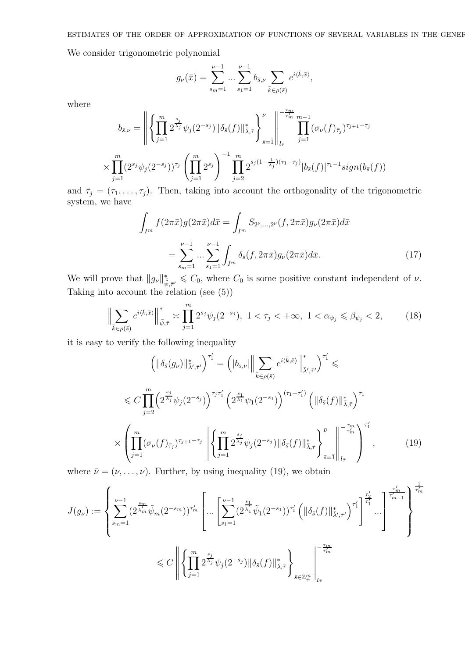ESTIMATES OF THE ORDER OF APPROXIMATION OF FUNCTIONS OF SEVERAL VARIABLES IN THE GENEF

We consider trigonometric polynomial

$$
g_{\nu}(\bar{x}) = \sum_{s_m=1}^{\nu-1} \dots \sum_{s_1=1}^{\nu-1} b_{\bar{s},\nu} \sum_{\bar{k} \in \rho(\bar{s})} e^{i \langle \bar{k}, \bar{x} \rangle},
$$

where

$$
b_{\bar{s},\nu} = \left\| \left\{ \prod_{j=1}^m 2^{\frac{s_j}{\lambda_j}} \psi_j(2^{-s_j}) \|\delta_{\bar{s}}(f)\|_{\bar{\lambda},\bar{\tau}}^* \right\}_{\bar{s}=\bar{1}}^{\bar{\nu}} \right\|_{l_{\bar{\tau}}}^{-\frac{\tau_m}{\tau_m}} \prod_{j=1}^{m-1} (\sigma_{\nu}(f)_{\bar{\tau}_j})^{\tau_{j+1}-\tau_j}
$$
  

$$
\times \prod_{j=1}^m (2^{s_j} \psi_j(2^{-s_j}))^{\tau_j} \left( \prod_{j=1}^m 2^{s_j} \right)^{-1} \prod_{j=2}^m 2^{s_j(1-\frac{1}{\lambda_j})(\tau_1-\tau_j)} |b_{\bar{s}}(f)|^{\tau_1-1} sign(b_{\bar{s}}(f))
$$

and  $\bar{\tau}_j = (\tau_1, \ldots, \tau_j)$ . Then, taking into account the orthogonality of the trigonometric system, we have

$$
\int_{I^m} f(2\pi \bar{x}) g(2\pi \bar{x}) d\bar{x} = \int_{I^m} S_{2^{\nu},...,2^{\nu}}(f, 2\pi \bar{x}) g_{\nu}(2\pi \bar{x}) d\bar{x}
$$
\n
$$
= \sum_{s_m=1}^{\nu-1} ... \sum_{s_1=1}^{\nu-1} \int_{I^m} \delta_{\bar{s}}(f, 2\pi \bar{x}) g_{\nu}(2\pi \bar{x}) d\bar{x}.
$$
\n(17)

We will prove that  $||g_{\nu}||_{\tilde{\psi},\bar{\tau}'}^* \leq C_0$ , where  $C_0$  is some positive constant independent of  $\nu$ . Taking into account the relation (see  $(5)$ )

$$
\Big\|\sum_{\bar{k}\in\rho(\bar{s})} e^{i\langle \bar{k},\bar{x}\rangle} \Big\|_{\bar{\psi},\bar{\tau}}^* \asymp \prod_{j=1}^m 2^{s_j} \psi_j(2^{-s_j}), \ 1 < \tau_j < +\infty, \ 1 < \alpha_{\psi_j} \leq \beta_{\psi_j} < 2, \tag{18}
$$

it is easy to verify the following inequality

$$
\left(\|\delta_{\bar{s}}(g_{\nu})\|_{\bar{\lambda}',\bar{\tau}'}^{*}\right)^{\tau'_{1}} = \left(\left|b_{s,\nu}\right|\left\|\sum_{\bar{k}\in\rho(\bar{s})}e^{i\langle\bar{k},\bar{x}\rangle}\right\|_{\bar{\lambda}',\bar{\tau}'}^{*}\right)^{\tau'_{1}} \leq
$$
\n
$$
\leq C\prod_{j=2}^{m}\left(2^{\frac{s_{j}}{\lambda_{j}}}\psi_{j}(2^{-s_{j}})\right)^{\tau_{j}\tau'_{1}}\left(2^{\frac{s_{1}}{\lambda_{1}}}\psi_{1}(2^{-s_{1}})\right)^{(\tau_{1}+\tau'_{1})}\left(\left\|\delta_{\bar{s}}(f)\right\|_{\bar{\lambda},\bar{\tau}}^{*}\right)^{\tau_{1}}
$$
\n
$$
\times\left(\prod_{j=1}^{m}(\sigma_{\nu}(f)_{\bar{\tau}_{j}})^{\tau_{j+1}-\tau_{j}}\right)\left\|\left\{\prod_{j=1}^{m}2^{\frac{s_{j}}{\lambda_{j}}}\psi_{j}(2^{-s_{j}})\right\|\delta_{\bar{s}}(f)\|_{\bar{\lambda},\bar{\tau}}^{*}\right\}_{\bar{s}=\bar{1}}\right\|_{l_{\bar{\tau}}}^{-\tau'_{m}}\right)^{\tau'_{1}},\tag{19}
$$

where  $\bar{\nu} = (\nu, \dots, \nu)$ . Further, by using inequality (19), we obtain

$$
J(g_{\nu}) := \left\{ \sum_{s_m=1}^{\nu-1} (2^{\frac{s_m}{\lambda_m}} \tilde{\psi}_m (2^{-s_m}))^{\tau'_m} \left[ \dots \left[ \sum_{s_1=1}^{\nu-1} (2^{\frac{s_1}{\lambda_1}} \tilde{\psi}_1 (2^{-s_1}))^{\tau'_1} \left( \|\delta_{\bar{s}}(f)\|_{\bar{\lambda},\bar{\tau}'}^* \right)^{\tau'_1} \right]^{\frac{\tau'_2}{\tau'_1}} \dots \right]^{\frac{\tau'_m}{\tau'_m}} \right\} \xrightarrow{\leftarrow} \leq C \left\| \left\{ \prod_{j=1}^m 2^{\frac{s_j}{\lambda_j}} \psi_j (2^{-s_j}) \|\delta_{\bar{s}}(f)\|_{\bar{\lambda},\bar{\tau}}^* \right\}_{\bar{s} \in \mathbb{Z}_+^m} \right\|_{l_{\bar{\tau}}}^{-\frac{\tau_m}{\tau'_m}}
$$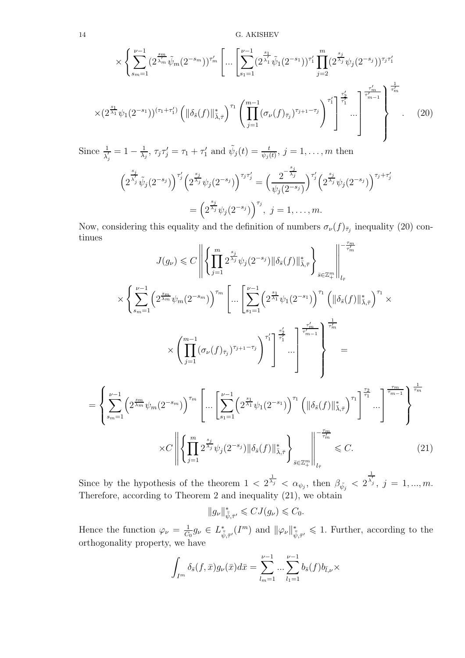14 G. AKISHEV

$$
\times \left\{ \sum_{s_{m}=1}^{\nu-1} (2^{\frac{s_{m}}{\lambda_{m}}}\tilde{\psi}_{m}(2^{-s_{m}}))^{\tau'_{m}} \left[ \dots \left[ \sum_{s_{1}=1}^{\nu-1} (2^{\frac{s_{1}}{\lambda_{1}}}\tilde{\psi}_{1}(2^{-s_{1}}))^{\tau'_{1}} \prod_{j=2}^{m} (2^{\frac{s_{j}}{\lambda_{j}}}\psi_{j}(2^{-s_{j}}))^{\tau_{j}\tau'_{1}} \right] \right\}^{r}
$$

$$
\times (2^{\frac{s_{1}}{\lambda_{1}}}\psi_{1}(2^{-s_{1}}))^{(\tau_{1}+\tau'_{1})} \left( \|\delta_{\bar{s}}(f)\|_{\bar{\lambda},\bar{\tau}}^{*} \right)^{\tau_{1}} \left( \prod_{j=1}^{m-1} (\sigma_{\nu}(f)_{\bar{\tau}_{j}})^{\tau_{j+1}-\tau_{j}} \right)^{\tau'_{1}} \right\}^{\frac{\tau'_{2}}{\tau'_{1}}} \dots \right\}^{\frac{\tau'_{m}}{\tau'_{m-1}}} \left\{ \left[ \sum_{j=1}^{\frac{\tau'_{m}}{\tau_{m-1}}} \left( \sum_{j=1}^{\frac{\tau'_{m}}{\tau_{m-1}}} (2^{-s_{1}})^{\tau_{m-1}} \right) \prod_{j=1}^{\frac{\tau'_{m}}{\tau_{m-1}}} \right] \right\}^{r}
$$

Since  $\frac{1}{\lambda'_j} = 1 - \frac{1}{\lambda_j}$  $\frac{1}{\lambda_j}$ ,  $\tau_j \tau'_j = \tau_1 + \tau'_1$  and  $\tilde{\psi}_j(t) = \frac{t}{\psi_j(t)}$ ,  $j = 1, \ldots, m$  then

$$
\left(2^{\frac{s_j}{\lambda_j}}\tilde{\psi}_j(2^{-s_j})\right)^{\tau_j'}\left(2^{\frac{s_j}{\lambda_j}}\psi_j(2^{-s_j})\right)^{\tau_j\tau_j'} = \left(\frac{2^{-\frac{s_j}{\lambda_j}}}{\psi_j(2^{-s_j})}\right)^{\tau_j'}\left(2^{\frac{s_j}{\lambda_j}}\psi_j(2^{-s_j})\right)^{\tau_j+\tau_j'}
$$

$$
= \left(2^{\frac{s_j}{\lambda_j}}\psi_j(2^{-s_j})\right)^{\tau_j}, \ j = 1, \dots, m.
$$

Now, considering this equality and the definition of numbers  $\sigma_{\nu}(f)_{\bar{\tau}_j}$  inequality (20) continues

$$
J(g_{\nu}) \leq C \left\| \left\{ \prod_{j=1}^{m} 2^{\frac{s_j}{\lambda_j}} \psi_j(2^{-s_j}) \|\delta_{\bar{s}}(f)\|_{\bar{\lambda},\bar{\tau}}^* \right\}_{\bar{s} \in \mathbb{Z}_{+}^{m}} \right\|_{l_{\bar{\tau}}}^{-\frac{\tau_m}{\tau_m}} \right\|_{\mathcal{L}_{\bar{\tau}}} \times \left\{ \sum_{s_{m}=1}^{\nu-1} \left( 2^{\frac{s_m}{\lambda_m}} \psi_m(2^{-s_m}) \right)^{\tau_m} \left[ \dots \left[ \sum_{s_1=1}^{\nu-1} \left( 2^{\frac{s_1}{\lambda_1}} \psi_1(2^{-s_1}) \right)^{\tau_1} \left( \|\delta_{\bar{s}}(f)\|_{\bar{\lambda},\bar{\tau}}^* \right)^{\tau_1} \right] \times \left\| \sum_{j=1}^{\nu-1} \left( \sigma_{\nu}(f)_{\bar{\tau}_j} \right)^{\tau_{j+1}-\tau_j} \right)^{\tau'_1} \left\| \sum_{s_1=1}^{\tau'_1} \left[ \sum_{s_2=1}^{\tau'_2} \left( 2^{\frac{s_1}{\lambda_1}} \psi_1(2^{-s_1}) \right)^{\tau_1} \left( \|\delta_{\bar{s}}(f)\|_{\bar{\lambda},\bar{\tau}}^* \right)^{\tau_1} \right] \right\|_{\mathcal{L}_{\bar{\tau}}}^{-\frac{\tau_m}{\tau_m}} \right\|_{\mathcal{L}_{\bar{\tau}}}^{-\frac{\tau_m}{\tau_{m-1}}} \left\| \sum_{s_m=1}^{\tau_m} \left( 2^{\frac{s_m}{\lambda_m}} \psi_m(2^{-s_m}) \right)^{\tau_m} \left( \dots \left[ \sum_{s_1=1}^{\nu-1} \left( 2^{\frac{s_1}{\lambda_1}} \psi_1(2^{-s_1}) \right)^{\tau_1} \left( \|\delta_{\bar{s}}(f)\|_{\bar{\lambda},\bar{\tau}}^* \right)^{\tau_1} \right] \dots \right]^{-\frac{\tau_m}{\tau_m}} \right\|_{\mathcal{L}_{\bar{\tau}}}^{-\frac{\tau_m}{\tau_{m-1}}} \left\| \sum_{s_m=1}^{\tau_m} \left( 2^{\frac{s_m}{\lambda_m}} \psi_m(2^{-s_m}) \right)^{\tau_m} \left[ \dots \
$$

Since by the hypothesis of the theorem  $1 \leq 2^{\frac{1}{\lambda_j}} \leq \alpha_{\psi_j}$ , then  $\beta_{\tilde{\psi}_j} \leq 2$  $\overline{\lambda'_{j}}\, , \; j\, =\, 1,...,m.$ Therefore, according to Theorem 2 and inequality (21), we obtain

1

$$
||g_{\nu}||_{\bar{\tilde{\psi}},\bar{\tau}'}^* \leqslant C J(g_{\nu}) \leqslant C_0.
$$

Hence the function  $\varphi_{\nu} = \frac{1}{C}$  $\frac{1}{C_0}g_{\nu} \in L^*_{\bar{\psi},\bar{\tau}'}(I^m)$  and  $\|\varphi_{\nu}\|_{\bar{\psi},\bar{\tau}'}^* \leq 1$ . Further, according to the orthogonality property, we have

$$
\int_{I^m} \delta_{\bar{s}}(f,\bar{x}) g_{\nu}(\bar{x}) d\bar{x} = \sum_{l_m=1}^{\nu-1} \dots \sum_{l_1=1}^{\nu-1} b_{\bar{s}}(f) b_{\bar{l},\nu} \times
$$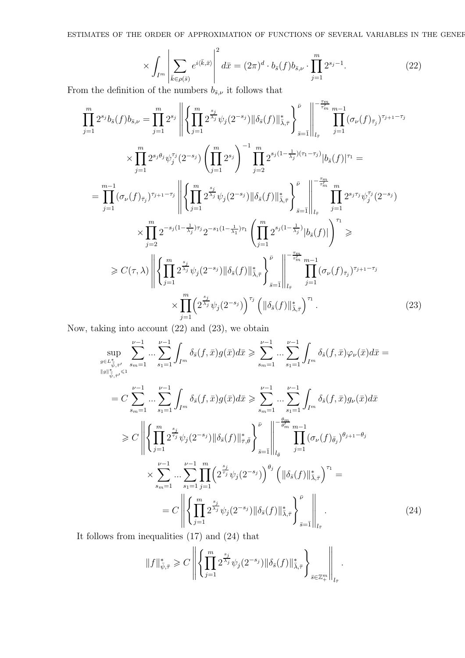ESTIMATES OF THE ORDER OF APPROXIMATION OF FUNCTIONS OF SEVERAL VARIABLES IN THE GENERAL

$$
\times \int_{I^m} \left| \sum_{\bar{k} \in \rho(\bar{s})} e^{i\langle \bar{k}, \bar{x} \rangle} \right|^2 d\bar{x} = (2\pi)^d \cdot b_{\bar{s}}(f) b_{\bar{s}, \nu} \cdot \prod_{j=1}^m 2^{s_j - 1}.
$$
 (22)

From the definition of the numbers  $b_{\bar{s},\nu}$  it follows that

$$
\prod_{j=1}^{m} 2^{s_j} b_{\bar{s}}(f) b_{\bar{s},\nu} = \prod_{j=1}^{m} 2^{s_j} \left\| \left\{ \prod_{j=1}^{m} 2^{\frac{s_j}{\lambda_j}} \psi_j(2^{-s_j}) \|\delta_{\bar{s}}(f)\|_{\bar{\lambda},\bar{\tau}}^* \right\}_{\bar{s}=\bar{1}}^{\bar{r}} \right\|_{l_{\bar{\tau}}} \prod_{j=1}^{m-1} (\sigma_{\nu}(f)_{\bar{\tau}_j})^{\tau_{j+1}-\tau_j} \times \prod_{j=1}^{m} 2^{s_j \theta_j} \psi_j^{\tau_j}(2^{-s_j}) \left( \prod_{j=1}^{m} 2^{s_j} \right)^{-1} \prod_{j=2}^{m} 2^{s_j(1-\frac{1}{\lambda_j})(\tau_1-\tau_j)} |b_{\bar{s}}(f)|^{\tau_1} =
$$
\n
$$
= \prod_{j=1}^{m-1} (\sigma_{\nu}(f)_{\bar{\tau}_j})^{\tau_{j+1}-\tau_j} \left\| \left\{ \prod_{j=1}^{m} 2^{\frac{s_j}{\lambda_j}} \psi_j(2^{-s_j}) \|\delta_{\bar{s}}(f)\|_{\bar{\lambda},\bar{\tau}}^* \right\}_{\bar{s}=\bar{1}}^{\bar{r}} \right\|_{l_{\bar{\tau}}} \prod_{j=1}^{m} 2^{s_j \tau_j} \psi_j^{\tau_j}(2^{-s_j}) \times \prod_{j=2}^{m} 2^{-s_j(1-\frac{1}{\lambda_j})\tau_j} 2^{-s_1(1-\frac{1}{\lambda_1})\tau_1} \left( \prod_{j=1}^{m} 2^{s_j(1-\frac{1}{\lambda_j})} |b_{\bar{s}}(f)| \right)^{\tau_1} \ge
$$
\n
$$
\geq C(\tau, \lambda) \left\| \left\{ \prod_{j=1}^{m} 2^{\frac{s_j}{\lambda_j}} \psi_j(2^{-s_j}) \|\delta_{\bar{s}}(f)\|_{\bar{\lambda},\bar{\tau}}^* \right\}_{\bar{s}=\bar{1}}^{\bar{r}} \right\|_{l_{\bar{\tau}}} \prod_{j=1}^{m-1} (\sigma_{\nu}(f)_{\bar{\tau}_j})^{\tau_{j+1}-\tau_j} \times \prod_{j=1}^{m} \left( 2^{\frac{s_j}{\lambda_j}}
$$

Now, taking into account (22) and (23), we obtain

$$
\sup_{\substack{g \in L_{\tilde{v}, \tilde{\tau}'}}} \sum_{s_{m}=1}^{\nu-1} \dots \sum_{s_{1}=1}^{\nu-1} \int_{I^{m}} \delta_{\tilde{s}}(f, \bar{x}) g(\bar{x}) d\bar{x} \geq \sum_{s_{m}=1}^{\nu-1} \dots \sum_{s_{1}=1}^{\nu-1} \int_{I^{m}} \delta_{\tilde{s}}(f, \bar{x}) \varphi_{\nu}(\bar{x}) d\bar{x} =
$$
\n
$$
= C \sum_{s_{m}=1}^{\nu-1} \dots \sum_{s_{1}=1}^{\nu-1} \int_{I^{m}} \delta_{\tilde{s}}(f, \bar{x}) g(\bar{x}) d\bar{x} \geq \sum_{s_{m}=1}^{\nu-1} \dots \sum_{s_{1}=1}^{\nu-1} \int_{I^{m}} \delta_{\tilde{s}}(f, \bar{x}) g_{\nu}(\bar{x}) d\bar{x}
$$
\n
$$
\geq C \left\| \left\{ \prod_{j=1}^{m} 2^{\frac{s_{j}}{\tau_{j}}} \psi_{j}(2^{-s_{j}}) \|\delta_{\tilde{s}}(f)\|_{\tilde{\tau}, \tilde{\theta}}^{*} \right\}_{\tilde{s}=\tilde{1}} \right\|_{l_{\tilde{\theta}}}^{\tilde{\theta}_{m}} \prod_{j=1}^{m-1} (\sigma_{\nu}(f)_{\tilde{\theta}_{j}})^{\theta_{j+1}-\theta_{j}}
$$
\n
$$
\times \sum_{s_{m}=1}^{\nu-1} \dots \sum_{s_{1}=1}^{\nu-1} \prod_{j=1}^{m} \left( 2^{\frac{s_{j}}{\tau_{j}}} \psi_{j}(2^{-s_{j}}) \right)^{\theta_{j}} \left( \|\delta_{\tilde{s}}(f)\|_{\tilde{\lambda},\tilde{\tau}}^{*} \right)^{\tau_{1}} =
$$
\n
$$
= C \left\| \left\{ \prod_{j=1}^{m} 2^{\frac{s_{j}}{\lambda_{j}}} \psi_{j}(2^{-s_{j}}) \|\delta_{\tilde{s}}(f)\|_{\tilde{\lambda},\tilde{\tau}}^{*} \right\}_{\tilde{s}=\tilde{1}} \right\|_{l_{\tilde{\tau}}}.
$$
\n(24)

It follows from inequalities (17) and (24) that

$$
\|f\|_{\bar\psi,\bar\tau}^*\geqslant C\left\|\left\{\prod_{j=1}^m2^{\frac{s_j}{\lambda_j}}\psi_j(2^{-s_j})\|\delta_{\bar s}(f)\|_{\bar\lambda,\bar\tau}^*\right\}_{\bar s\in\mathbb{Z}^m_+}\right\|_{l_{\bar\tau}}.
$$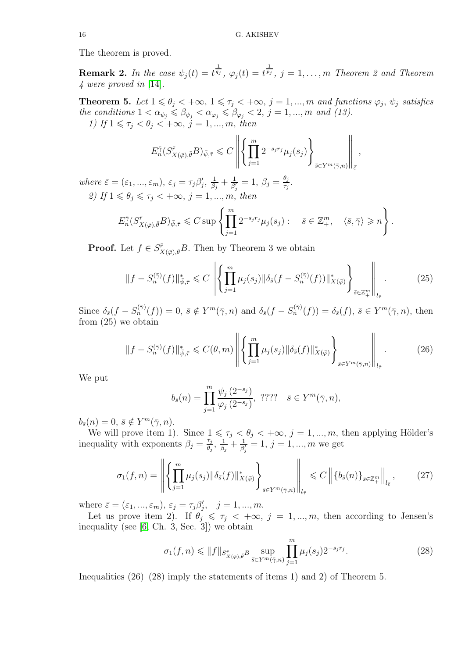The theorem is proved.

**Remark 2.** In the case  $\psi_j(t) = t^{\frac{1}{q_j}}$ ,  $\varphi_j(t) = t^{\frac{1}{p_j}}$ ,  $j = 1, \ldots, m$  Theorem 2 and Theorem *4 were proved in* [\[14\]](#page-16-15)*.*

**Theorem 5.** Let  $1 \le \theta_j < +\infty$ ,  $1 \le \tau_j < +\infty$ ,  $j = 1, ..., m$  and functions  $\varphi_j$ ,  $\psi_j$  satisfies *the conditions*  $1 < \alpha_{\psi_j} \leq \beta_{\psi_j} < \alpha_{\varphi_j} \leq \beta_{\varphi_j} < 2, j = 1, ..., m$  *and (13). 1)* If  $1 \leq \tau_j < \theta_j < +\infty$ ,  $j = 1, \ldots, m$ , then

$$
E_n^{\bar{\gamma}}(S_{X(\bar{\varphi}),\bar{\theta}}^{\bar{r}}B)_{\bar{\psi},\bar{\tau}} \leqslant C \left\| \left\{ \prod_{j=1}^m 2^{-s_jr_j} \mu_j(s_j) \right\}_{\bar{s} \in Y^m(\bar{\gamma},n)} \right\|_{\bar{\varepsilon}}
$$

,

*where*  $\bar{\varepsilon} = (\varepsilon_1, ..., \varepsilon_m), \varepsilon_j = \tau_j \beta_j', \frac{1}{\beta_j}$  $\frac{1}{\beta_j}+\frac{1}{\beta_j'}$  $\frac{1}{\beta_j'}=1, \ \beta_j=\frac{\theta_j}{\tau_j}$  $\frac{\sigma_j}{\tau_j}$  . *2)* If  $1 \le \theta_j \le \tau_j < +\infty$ ,  $j = 1, ..., m$ , then

$$
E_n^{\bar{\gamma}}(S_{X(\bar{\varphi}),\bar{\theta}}^{\bar{r}}B)_{\bar{\psi},\bar{\tau}} \leqslant C \sup \left\{ \prod_{j=1}^m 2^{-s_j r_j} \mu_j(s_j) : \quad \bar{s} \in \mathbb{Z}_+^m, \quad \langle \bar{s}, \bar{\gamma} \rangle \geqslant n \right\}.
$$

**Proof.** Let  $f \in S^{\bar{r}}_X$  $\bar{X}(\bar{\varphi})$ ,  $\bar{\theta}B$ . Then by Theorem 3 we obtain

$$
||f - S_n^{(\bar{\gamma})}(f)||_{\bar{\psi},\bar{\tau}}^* \leq C \left\| \left\{ \prod_{j=1}^m \mu_j(s_j) ||\delta_{\bar{s}}(f - S_n^{(\bar{\gamma})}(f))||_{X(\bar{\varphi})}^* \right\}_{\bar{s} \in \mathbb{Z}_+^m} \right\|_{l_{\bar{\tau}}}.
$$
 (25)

Since  $\delta_{\bar{s}}(f - S_n^{(\bar{\gamma})}(f)) = 0$ ,  $\bar{s} \notin Y^m(\bar{\gamma}, n)$  and  $\delta_{\bar{s}}(f - S_n^{(\bar{\gamma})}(f)) = \delta_{\bar{s}}(f)$ ,  $\bar{s} \in Y^m(\bar{\gamma}, n)$ , then from (25) we obtain

$$
\|f - S_n^{(\bar{\gamma})}(f)\|_{\bar{\psi},\bar{\tau}}^* \leqslant C(\theta, m) \left\| \left\{ \prod_{j=1}^m \mu_j(s_j) \|\delta_{\bar{s}}(f)\|_{X(\bar{\varphi})}^* \right\}_{\bar{s}\in Y^m(\bar{\gamma}, n)} \right\|_{l_{\bar{\tau}}}.
$$
 (26)

We put

$$
b_{\bar{s}}(n) = \prod_{j=1}^{m} \frac{\psi_j(2^{-s_j})}{\varphi_j(2^{-s_j})}, \quad ???? \quad \bar{s} \in Y^m(\bar{\gamma}, n),
$$

 $b_{\bar{s}}(n) = 0, \, \bar{s} \notin Y^m(\bar{\gamma}, n).$ 

We will prove item 1). Since  $1 \leq \tau_j < \theta_j < +\infty$ ,  $j = 1, \ldots, m$ , then applying Hölder's inequality with exponents  $\beta_j = \frac{\tau_j}{\theta_j}$  $\frac{\tau_j}{\theta_j}, \frac{1}{\beta_j}$  $\frac{1}{\beta_j}+\frac{1}{\beta_j'}$  $\frac{1}{\beta'_j} = 1, j = 1, ..., m$  we get

$$
\sigma_1(f,n) = \left\| \left\{ \prod_{j=1}^m \mu_j(s_j) \| \delta_{\bar{s}}(f) \|_{X(\bar{\varphi})}^* \right\}_{\bar{s} \in Y^m(\bar{\gamma},n)} \right\|_{l_{\bar{\tau}}} \leq C \left\| \left\{ b_{\bar{s}}(n) \right\}_{\bar{s} \in \mathbb{Z}_+^m} \right\|_{l_{\bar{\varepsilon}}},\tag{27}
$$

where  $\bar{\varepsilon} = (\varepsilon_1, ..., \varepsilon_m), \varepsilon_j = \tau_j \beta'_j, \quad j = 1, ..., m.$ 

Let us prove item 2). If  $\hat{\theta}_j \leq \tau_j \leq +\infty$ ,  $j = 1, ..., m$ , then according to Jensen's inequality (see [\[6,](#page-16-5) Ch. 3, Sec. 3]) we obtain

$$
\sigma_1(f, n) \le \|f\|_{S^{\bar{r}}_{X(\bar{\varphi}), \bar{\theta}} B} \sup_{\bar{s} \in Y^m(\bar{\gamma}, n)} \prod_{j=1}^m \mu_j(s_j) 2^{-s_j r_j}.
$$
\n(28)

Inequalities  $(26)$ – $(28)$  imply the statements of items 1) and 2) of Theorem 5.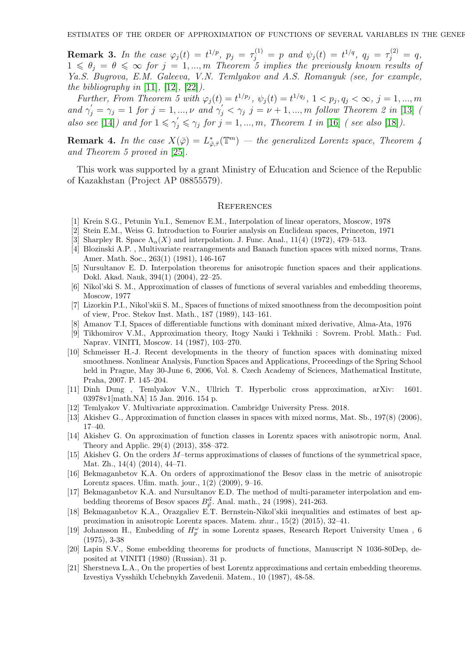**Remark 3.** In the case  $\varphi_j(t) = t^{1/p}$ ,  $p_j = \tau_j^{(1)} = p$  and  $\psi_j(t) = t^{1/q}$ ,  $q_j = \tau_j^{(2)} = q$ ,  $1 \leqslant \theta_j = \theta \leqslant \infty$  for  $j = 1, ..., m$  Theorem 5 implies the previously known results of *Ya.S. Bugrova, E.M. Galeeva, V.N. Temlyakov and A.S. Romanyuk (see, for example, the bibliography in* [\[11\]](#page-16-8)*,* [\[12\]](#page-16-9)*,* [\[22\]](#page-17-3)*).*

*Further, From Theorem 5 with*  $\varphi_j(t) = t^{1/p_j}, \psi_j(t) = t^{1/q_j}, 1 < p_j, q_j < \infty, j = 1, ..., m$ and  $\gamma'_j = \gamma_j = 1$  for  $j = 1, ..., \nu$  and  $\gamma'_j < \gamma_j$   $j = \nu + 1, ..., m$  follow Theorem 2 in [\[13\]](#page-16-10) *(* also see [\[14\]](#page-16-15)) and for  $1 \leq \gamma_j' \leq \gamma_j$  for  $j = 1, ..., m$ , Theorem 1 in [\[16\]](#page-16-16) *(see also* [\[18\]](#page-16-11)).

**Remark 4.** In the case  $X(\bar{\varphi}) = L^*_{\bar{\varphi}, \bar{\tau}}(\mathbb{T}^m)$  — the generalized Lorentz space, Theorem 4 *and Theorem 5 proved in* [\[25\]](#page-17-2)*.*

This work was supported by a grant Ministry of Education and Science of the Republic of Kazakhstan (Project AP 08855579).

### **REFERENCES**

- <span id="page-16-2"></span><span id="page-16-0"></span>[1] Krein S.G., Petunin Yu.I., Semenov E.M., Interpolation of linear operators, Moscow, 1978
- <span id="page-16-1"></span>[2] Stein E.M., Weiss G. Introduction to Fourier analysis on Euclidean spaces, Princeton, 1971
- <span id="page-16-3"></span>[3] Sharpley R. Space  $\Lambda_{\alpha}(X)$  and interpolation. J. Func. Anal., 11(4) (1972), 479–513.
- [4] Blozinski A.P. , Multivariate rearrangements and Banach function spaces with mixed norms, Trans. Amer. Math. Soc., 263(1) (1981), 146-167
- <span id="page-16-4"></span>[5] Nursultanov E. D. Interpolation theorems for anisotropic function spaces and their applications. Dokl. Akad. Nauk, 394(1) (2004), 22–25.
- <span id="page-16-5"></span>[6] Nikol'ski S. M., Approximation of classes of functions of several variables and embedding theorems, Moscow, 1977
- [7] Lizorkin P.I., Nikol'skii S. M., Spaces of functions of mixed smoothness from the decomposition point of view, Proc. Stekov Inst. Math., 187 (1989), 143–161.
- <span id="page-16-7"></span><span id="page-16-6"></span>[8] Amanov T.I, Spaces of differentiable functions with dominant mixed derivative, Alma-Ata, 1976
- [9] Tikhomirov V.M., Approximation theory, Itogy Nauki i Tekhniki : Sovrem. Probl. Math.: Fud. Naprav. VINITI, Moscow. 14 (1987), 103–270.
- [10] Schmeisser H.-J. Recent developments in the theory of function spaces with dominating mixed smoothness. Nonlinear Analysis, Function Spaces and Applications, Proceedings of the Spring School held in Prague, May 30-June 6, 2006, Vol. 8. Czech Academy of Sciences, Mathematical Institute, Praha, 2007. P. 145–204.
- <span id="page-16-8"></span>[11] Dinh Dung , Temlyakov V.N., Ullrich T. Hyperbolic cross approximation, arXiv: 1601. 03978v1[math.NA] 15 Jan. 2016. 154 p.
- <span id="page-16-10"></span><span id="page-16-9"></span>[12] Temlyakov V. Multivariate approximation. Cambridge University Press. 2018.
- <span id="page-16-15"></span>[13] Akishev G., Approximation of function classes in spaces with mixed norms, Mat. Sb., 197(8) (2006), 17–40.
- [14] Akishev G. On approximation of function classes in Lorentz spaces with anisotropic norm, Anal. Theory and Applic. 29(4) (2013), 358–372.
- [15] Akishev G. On the orders M–terms approximations of classes of functions of the symmetrical space, Mat. Zh., 14(4) (2014), 44–71.
- <span id="page-16-16"></span>[16] Bekmaganbetov K.A. On orders of approximationof the Besov class in the metric of anisotropic Lorentz spaces. Ufim. math. jour., 1(2) (2009), 9–16.
- [17] Bekmaganbetov K.A. and Nursultanov E.D. The method of multi-parameter interpolation and embedding theorems of Besov spaces  $B^{\vec{\alpha}}_{\vec{p}}$ . Anal. math., 24 (1998), 241-263.
- <span id="page-16-11"></span>[18] Bekmaganbetov K.A., Orazgaliev E.T. Bernstein-Nikol'skii inequalities and estimates of best approximation in anisotropic Lorentz spaces. Matem. zhur., 15(2) (2015), 32–41.
- <span id="page-16-12"></span>[19] Johansson H., Embedding of  $H_p^{\omega}$  in some Lorentz spases, Research Report University Umea, 6 (1975), 3-38
- <span id="page-16-13"></span>[20] Lapin S.V., Some embedding theorems for products of functions, Manuscript N 1036-80Dep, deposited at VINITI (1980) (Russian). 31 p.
- <span id="page-16-14"></span>[21] Sherstneva L.A., On the properties of best Lorentz approximations and certain embedding theorems. Izvestiya Vysshikh Uchebnykh Zavedenii. Matem., 10 (1987), 48-58.